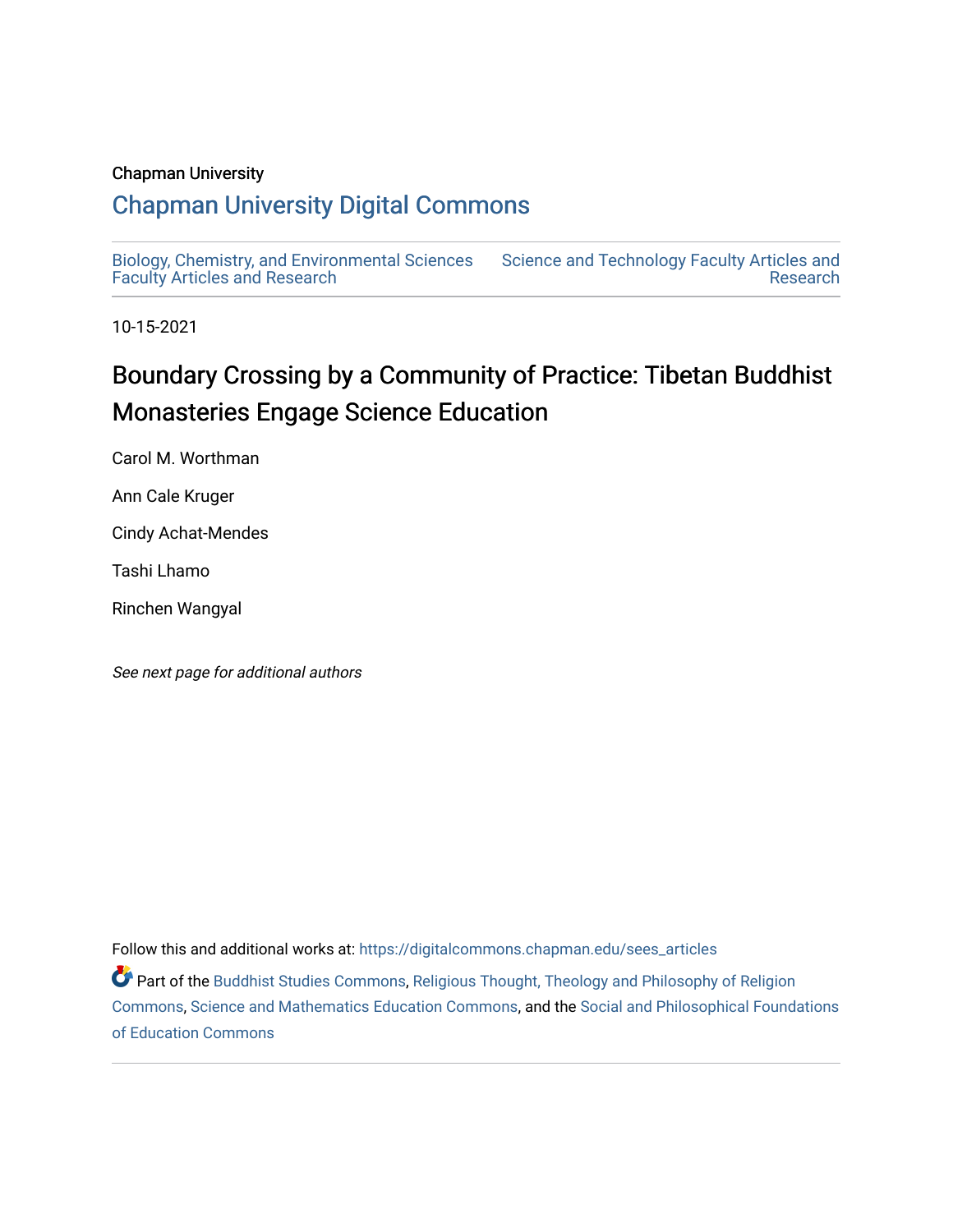# Chapman University

# [Chapman University Digital Commons](https://digitalcommons.chapman.edu/)

[Biology, Chemistry, and Environmental Sciences](https://digitalcommons.chapman.edu/sees_articles) [Faculty Articles and Research](https://digitalcommons.chapman.edu/sees_articles) [Science and Technology Faculty Articles and](https://digitalcommons.chapman.edu/science_articles)  [Research](https://digitalcommons.chapman.edu/science_articles) 

10-15-2021

# Boundary Crossing by a Community of Practice: Tibetan Buddhist Monasteries Engage Science Education

Carol M. Worthman

Ann Cale Kruger

Cindy Achat-Mendes

Tashi Lhamo

Rinchen Wangyal

See next page for additional authors

Follow this and additional works at: [https://digitalcommons.chapman.edu/sees\\_articles](https://digitalcommons.chapman.edu/sees_articles?utm_source=digitalcommons.chapman.edu%2Fsees_articles%2F512&utm_medium=PDF&utm_campaign=PDFCoverPages) 

Part of the [Buddhist Studies Commons,](http://network.bepress.com/hgg/discipline/1344?utm_source=digitalcommons.chapman.edu%2Fsees_articles%2F512&utm_medium=PDF&utm_campaign=PDFCoverPages) [Religious Thought, Theology and Philosophy of Religion](http://network.bepress.com/hgg/discipline/544?utm_source=digitalcommons.chapman.edu%2Fsees_articles%2F512&utm_medium=PDF&utm_campaign=PDFCoverPages) [Commons](http://network.bepress.com/hgg/discipline/544?utm_source=digitalcommons.chapman.edu%2Fsees_articles%2F512&utm_medium=PDF&utm_campaign=PDFCoverPages), [Science and Mathematics Education Commons,](http://network.bepress.com/hgg/discipline/800?utm_source=digitalcommons.chapman.edu%2Fsees_articles%2F512&utm_medium=PDF&utm_campaign=PDFCoverPages) and the [Social and Philosophical Foundations](http://network.bepress.com/hgg/discipline/799?utm_source=digitalcommons.chapman.edu%2Fsees_articles%2F512&utm_medium=PDF&utm_campaign=PDFCoverPages) [of Education Commons](http://network.bepress.com/hgg/discipline/799?utm_source=digitalcommons.chapman.edu%2Fsees_articles%2F512&utm_medium=PDF&utm_campaign=PDFCoverPages)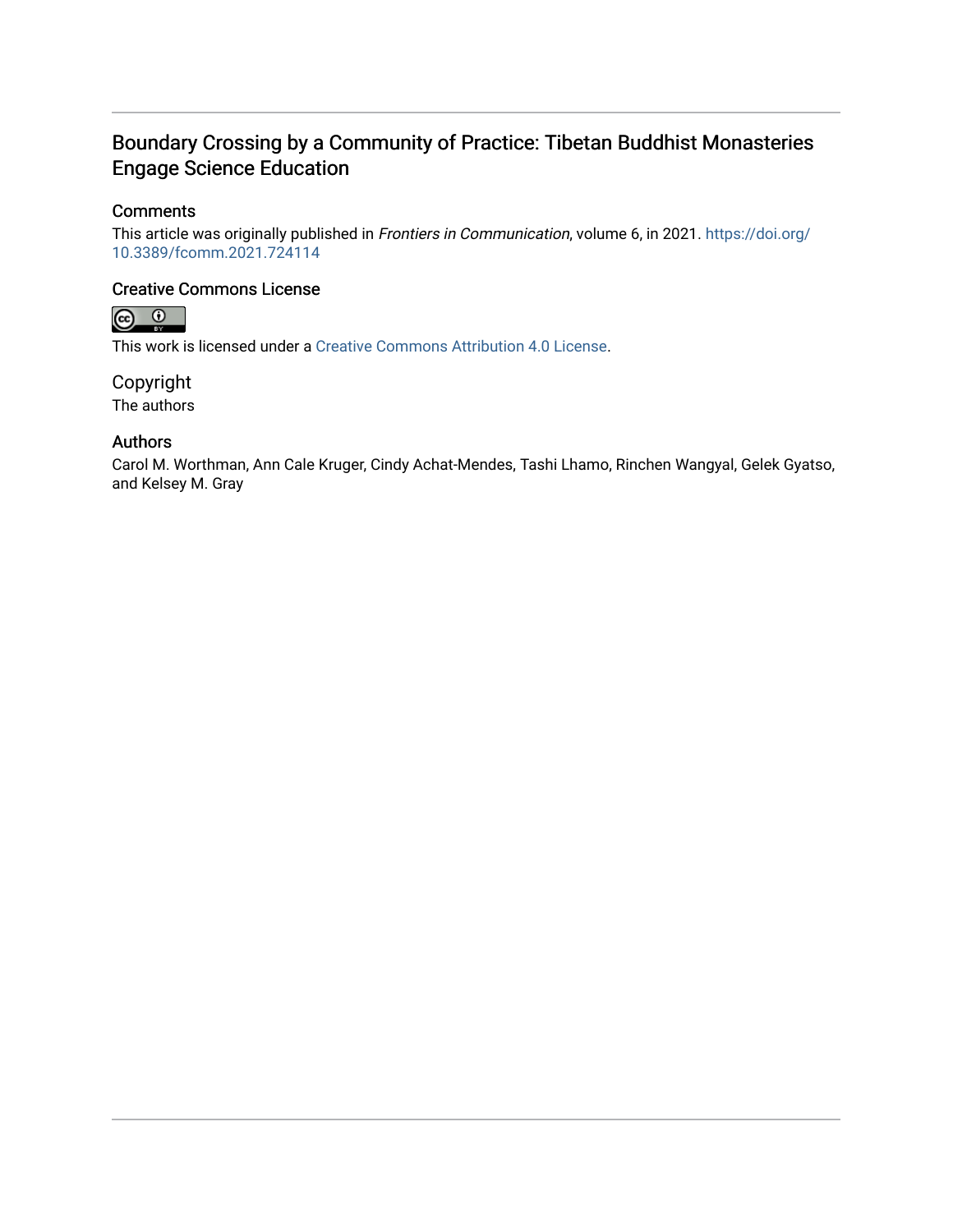# Boundary Crossing by a Community of Practice: Tibetan Buddhist Monasteries Engage Science Education

# **Comments**

This article was originally published in Frontiers in Communication, volume 6, in 2021. [https://doi.org/](https://doi.org/10.3389/fcomm.2021.724114) [10.3389/fcomm.2021.724114](https://doi.org/10.3389/fcomm.2021.724114) 

### Creative Commons License



This work is licensed under a [Creative Commons Attribution 4.0 License](https://creativecommons.org/licenses/by/4.0/).

Copyright The authors

### Authors

Carol M. Worthman, Ann Cale Kruger, Cindy Achat-Mendes, Tashi Lhamo, Rinchen Wangyal, Gelek Gyatso, and Kelsey M. Gray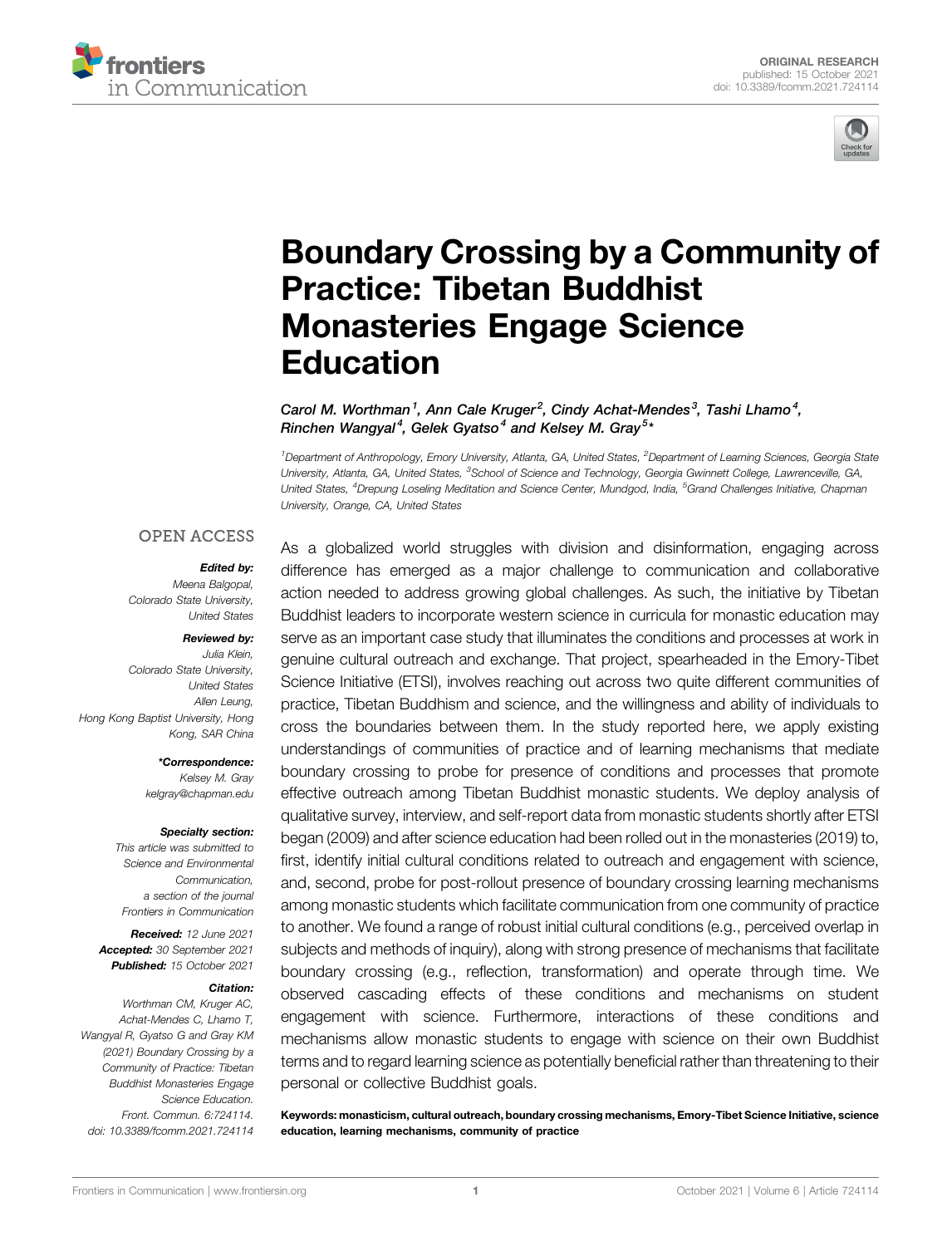



# [Boundary Crossing by a Community of](https://www.frontiersin.org/articles/10.3389/fcomm.2021.724114/full) [Practice: Tibetan Buddhist](https://www.frontiersin.org/articles/10.3389/fcomm.2021.724114/full) [Monasteries Engage Science](https://www.frontiersin.org/articles/10.3389/fcomm.2021.724114/full) [Education](https://www.frontiersin.org/articles/10.3389/fcomm.2021.724114/full)

Carol M. Worthman<sup>1</sup>, Ann Cale Kruger<sup>2</sup>, Cindy Achat-Mendes<sup>3</sup>, Tashi Lhamo<sup>4</sup>, Rinchen Wangyal<sup>4</sup>, Gelek Gyatso<sup>4</sup> and Kelsey M. Gray<sup>5</sup>\*

<sup>1</sup>Department of Anthropology, Emory University, Atlanta, GA, United States, <sup>2</sup>Department of Learning Sciences, Georgia State University, Atlanta, GA, United States, <sup>3</sup>School of Science and Technology, Georgia Gwinnett College, Lawrenceville, GA, United States, <sup>4</sup>Drepung Loseling Meditation and Science Center, Mundgod, India, <sup>5</sup>Grand Challenges Initiative, Chapman University, Orange, CA, United States

#### **OPEN ACCESS**

#### Edited by:

Meena Balgopal, Colorado State University, United States

#### Reviewed by:

Julia Klein, Colorado State University, United States Allen Leung, Hong Kong Baptist University, Hong Kong, SAR China

\*Correspondence:

Kelsey M. Gray [kelgray@chapman.edu](mailto:kelgray@chapman.edu)

#### Specialty section:

This article was submitted to Science and Environmental Communication, a section of the journal Frontiers in Communication

Received: 12 June 2021 Accepted: 30 September 2021 Published: 15 October 2021

#### Citation:

Worthman CM, Kruger AC, Achat-Mendes C, Lhamo T, Wangyal R, Gyatso G and Gray KM (2021) Boundary Crossing by a Community of Practice: Tibetan Buddhist Monasteries Engage Science Education. Front. Commun. 6:724114. doi: [10.3389/fcomm.2021.724114](https://doi.org/10.3389/fcomm.2021.724114)

As a globalized world struggles with division and disinformation, engaging across difference has emerged as a major challenge to communication and collaborative action needed to address growing global challenges. As such, the initiative by Tibetan Buddhist leaders to incorporate western science in curricula for monastic education may serve as an important case study that illuminates the conditions and processes at work in genuine cultural outreach and exchange. That project, spearheaded in the Emory-Tibet Science Initiative (ETSI), involves reaching out across two quite different communities of practice, Tibetan Buddhism and science, and the willingness and ability of individuals to cross the boundaries between them. In the study reported here, we apply existing understandings of communities of practice and of learning mechanisms that mediate boundary crossing to probe for presence of conditions and processes that promote effective outreach among Tibetan Buddhist monastic students. We deploy analysis of qualitative survey, interview, and self-report data from monastic students shortly after ETSI began (2009) and after science education had been rolled out in the monasteries (2019) to, first, identify initial cultural conditions related to outreach and engagement with science, and, second, probe for post-rollout presence of boundary crossing learning mechanisms among monastic students which facilitate communication from one community of practice to another. We found a range of robust initial cultural conditions (e.g., perceived overlap in subjects and methods of inquiry), along with strong presence of mechanisms that facilitate boundary crossing (e.g., reflection, transformation) and operate through time. We observed cascading effects of these conditions and mechanisms on student engagement with science. Furthermore, interactions of these conditions and mechanisms allow monastic students to engage with science on their own Buddhist terms and to regard learning science as potentially beneficial rather than threatening to their personal or collective Buddhist goals.

Keywords: monasticism, cultural outreach, boundary crossing mechanisms, Emory-Tibet Science Initiative, science education, learning mechanisms, community of practice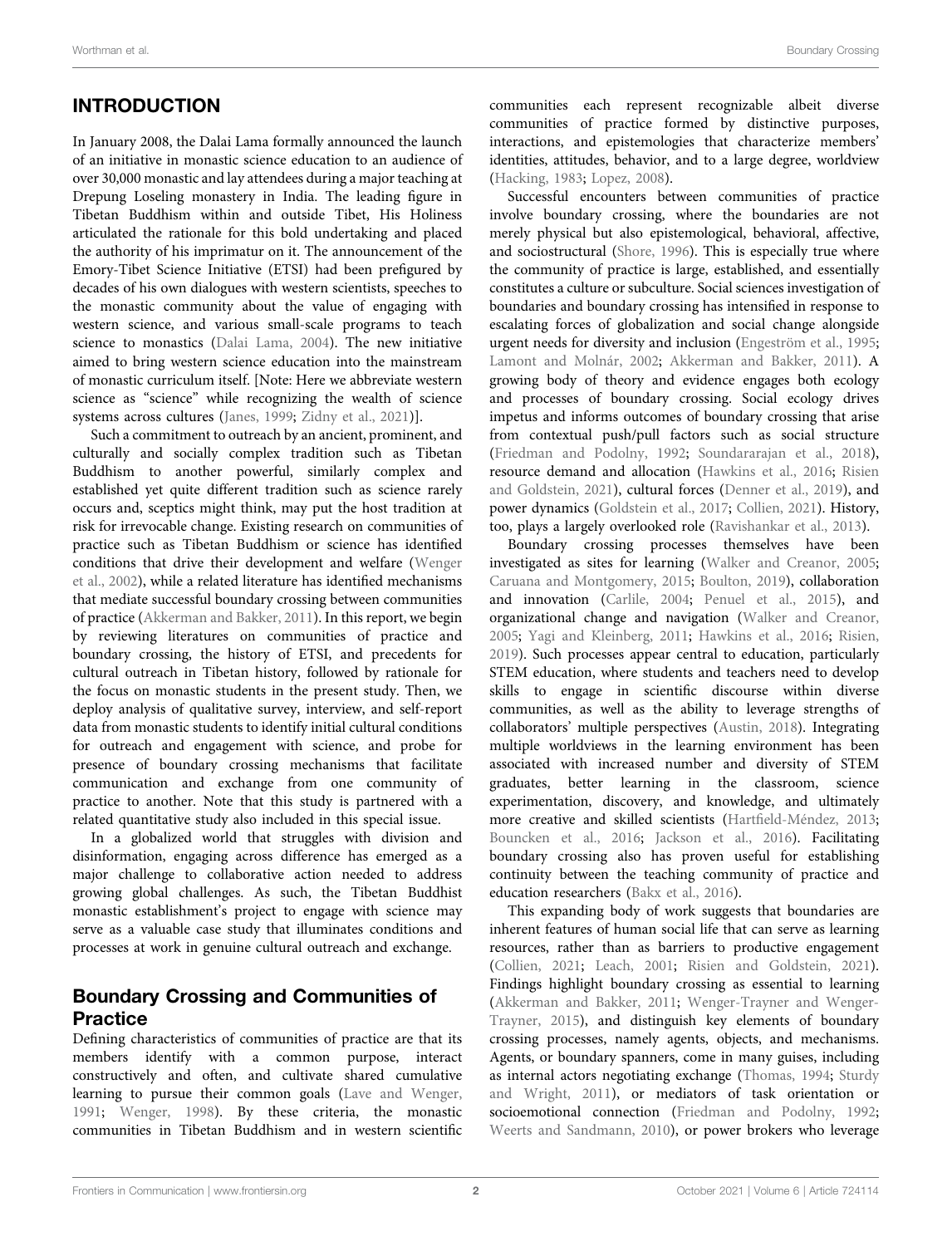# INTRODUCTION

In January 2008, the Dalai Lama formally announced the launch of an initiative in monastic science education to an audience of over 30,000 monastic and lay attendees during a major teaching at Drepung Loseling monastery in India. The leading figure in Tibetan Buddhism within and outside Tibet, His Holiness articulated the rationale for this bold undertaking and placed the authority of his imprimatur on it. The announcement of the Emory-Tibet Science Initiative (ETSI) had been prefigured by decades of his own dialogues with western scientists, speeches to the monastic community about the value of engaging with western science, and various small-scale programs to teach science to monastics [\(Dalai Lama, 2004](#page-16-0)). The new initiative aimed to bring western science education into the mainstream of monastic curriculum itself. [Note: Here we abbreviate western science as "science" while recognizing the wealth of science systems across cultures [\(Janes, 1999](#page-16-1); [Zidny et al., 2021](#page-17-0))].

Such a commitment to outreach by an ancient, prominent, and culturally and socially complex tradition such as Tibetan Buddhism to another powerful, similarly complex and established yet quite different tradition such as science rarely occurs and, sceptics might think, may put the host tradition at risk for irrevocable change. Existing research on communities of practice such as Tibetan Buddhism or science has identified conditions that drive their development and welfare [\(Wenger](#page-17-1) [et al., 2002](#page-17-1)), while a related literature has identified mechanisms that mediate successful boundary crossing between communities of practice ([Akkerman and Bakker, 2011\)](#page-16-2). In this report, we begin by reviewing literatures on communities of practice and boundary crossing, the history of ETSI, and precedents for cultural outreach in Tibetan history, followed by rationale for the focus on monastic students in the present study. Then, we deploy analysis of qualitative survey, interview, and self-report data from monastic students to identify initial cultural conditions for outreach and engagement with science, and probe for presence of boundary crossing mechanisms that facilitate communication and exchange from one community of practice to another. Note that this study is partnered with a related quantitative study also included in this special issue.

In a globalized world that struggles with division and disinformation, engaging across difference has emerged as a major challenge to collaborative action needed to address growing global challenges. As such, the Tibetan Buddhist monastic establishment's project to engage with science may serve as a valuable case study that illuminates conditions and processes at work in genuine cultural outreach and exchange.

# Boundary Crossing and Communities of **Practice**

Defining characteristics of communities of practice are that its members identify with a common purpose, interact constructively and often, and cultivate shared cumulative learning to pursue their common goals ([Lave and Wenger,](#page-16-3) [1991](#page-16-3); [Wenger, 1998](#page-17-2)). By these criteria, the monastic communities in Tibetan Buddhism and in western scientific communities each represent recognizable albeit diverse communities of practice formed by distinctive purposes, interactions, and epistemologies that characterize members' identities, attitudes, behavior, and to a large degree, worldview [\(Hacking, 1983;](#page-16-4) [Lopez, 2008\)](#page-16-5).

Successful encounters between communities of practice involve boundary crossing, where the boundaries are not merely physical but also epistemological, behavioral, affective, and sociostructural [\(Shore, 1996](#page-17-3)). This is especially true where the community of practice is large, established, and essentially constitutes a culture or subculture. Social sciences investigation of boundaries and boundary crossing has intensified in response to escalating forces of globalization and social change alongside urgent needs for diversity and inclusion [\(Engeström et al., 1995;](#page-16-6) [Lamont and Molnár, 2002](#page-16-7); [Akkerman and Bakker, 2011](#page-16-2)). A growing body of theory and evidence engages both ecology and processes of boundary crossing. Social ecology drives impetus and informs outcomes of boundary crossing that arise from contextual push/pull factors such as social structure [\(Friedman and Podolny, 1992](#page-16-8); [Soundararajan et al., 2018\)](#page-17-4), resource demand and allocation [\(Hawkins et al., 2016](#page-16-9); [Risien](#page-16-10) [and Goldstein, 2021\)](#page-16-10), cultural forces [\(Denner et al., 2019](#page-16-11)), and power dynamics ([Goldstein et al., 2017;](#page-16-12) [Collien, 2021](#page-16-13)). History, too, plays a largely overlooked role [\(Ravishankar et al., 2013\)](#page-16-14).

Boundary crossing processes themselves have been investigated as sites for learning ([Walker and Creanor, 2005;](#page-17-5) [Caruana and Montgomery, 2015](#page-16-15); [Boulton, 2019](#page-16-16)), collaboration and innovation [\(Carlile, 2004](#page-16-17); [Penuel et al., 2015](#page-16-18)), and organizational change and navigation ([Walker and Creanor,](#page-17-5) [2005](#page-17-5); [Yagi and Kleinberg, 2011;](#page-17-6) [Hawkins et al., 2016](#page-16-9); [Risien,](#page-16-19) [2019](#page-16-19)). Such processes appear central to education, particularly STEM education, where students and teachers need to develop skills to engage in scientific discourse within diverse communities, as well as the ability to leverage strengths of collaborators' multiple perspectives [\(Austin, 2018\)](#page-16-20). Integrating multiple worldviews in the learning environment has been associated with increased number and diversity of STEM graduates, better learning in the classroom, science experimentation, discovery, and knowledge, and ultimately more creative and skilled scientists (Hartfi[eld-Méndez, 2013;](#page-16-21) [Bouncken et al., 2016;](#page-16-22) [Jackson et al., 2016](#page-16-23)). Facilitating boundary crossing also has proven useful for establishing continuity between the teaching community of practice and education researchers ([Bakx et al., 2016\)](#page-16-24).

This expanding body of work suggests that boundaries are inherent features of human social life that can serve as learning resources, rather than as barriers to productive engagement [\(Collien, 2021;](#page-16-13) [Leach, 2001](#page-16-25); [Risien and Goldstein, 2021\)](#page-16-10). Findings highlight boundary crossing as essential to learning [\(Akkerman and Bakker, 2011](#page-16-2); [Wenger-Trayner and Wenger-](#page-17-7)[Trayner, 2015\)](#page-17-7), and distinguish key elements of boundary crossing processes, namely agents, objects, and mechanisms. Agents, or boundary spanners, come in many guises, including as internal actors negotiating exchange ([Thomas, 1994](#page-17-8); [Sturdy](#page-17-9) [and Wright, 2011](#page-17-9)), or mediators of task orientation or socioemotional connection [\(Friedman and Podolny, 1992;](#page-16-8) [Weerts and Sandmann, 2010](#page-17-10)), or power brokers who leverage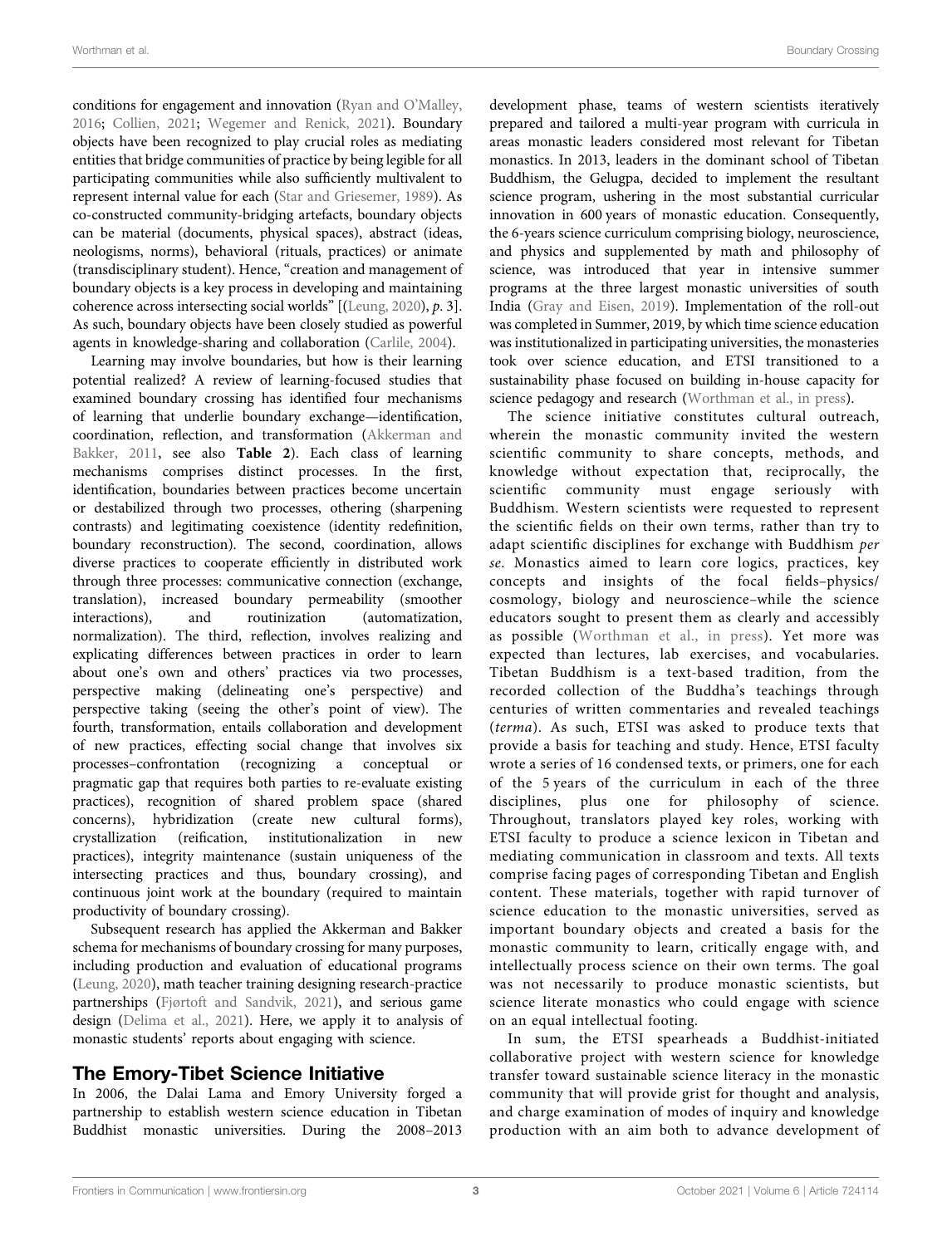conditions for engagement and innovation ([Ryan and O](#page-17-11)'Malley, [2016](#page-17-11); [Collien, 2021;](#page-16-13) [Wegemer and Renick, 2021\)](#page-17-12). Boundary objects have been recognized to play crucial roles as mediating entities that bridge communities of practice by being legible for all participating communities while also sufficiently multivalent to represent internal value for each ([Star and Griesemer, 1989](#page-17-13)). As co-constructed community-bridging artefacts, boundary objects can be material (documents, physical spaces), abstract (ideas, neologisms, norms), behavioral (rituals, practices) or animate (transdisciplinary student). Hence, "creation and management of boundary objects is a key process in developing and maintaining coherence across intersecting social worlds" [([Leung, 2020](#page-16-26)), p. 3]. As such, boundary objects have been closely studied as powerful agents in knowledge-sharing and collaboration [\(Carlile, 2004\)](#page-16-17).

Learning may involve boundaries, but how is their learning potential realized? A review of learning-focused studies that examined boundary crossing has identified four mechanisms of learning that underlie boundary exchange—identification, coordination, reflection, and transformation [\(Akkerman and](#page-16-2) [Bakker, 2011,](#page-16-2) see also [Table 2](#page-10-0)). Each class of learning mechanisms comprises distinct processes. In the first, identification, boundaries between practices become uncertain or destabilized through two processes, othering (sharpening contrasts) and legitimating coexistence (identity redefinition, boundary reconstruction). The second, coordination, allows diverse practices to cooperate efficiently in distributed work through three processes: communicative connection (exchange, translation), increased boundary permeability (smoother interactions), and routinization (automatization, normalization). The third, reflection, involves realizing and explicating differences between practices in order to learn about one's own and others' practices via two processes, perspective making (delineating one's perspective) and perspective taking (seeing the other's point of view). The fourth, transformation, entails collaboration and development of new practices, effecting social change that involves six processes–confrontation (recognizing a conceptual or pragmatic gap that requires both parties to re-evaluate existing practices), recognition of shared problem space (shared concerns), hybridization (create new cultural forms), crystallization (reification, institutionalization in new practices), integrity maintenance (sustain uniqueness of the intersecting practices and thus, boundary crossing), and continuous joint work at the boundary (required to maintain productivity of boundary crossing).

Subsequent research has applied the Akkerman and Bakker schema for mechanisms of boundary crossing for many purposes, including production and evaluation of educational programs ([Leung, 2020\)](#page-16-26), math teacher training designing research-practice partnerships ([Fjørtoft and Sandvik, 2021\)](#page-16-27), and serious game design [\(Delima et al., 2021\)](#page-16-28). Here, we apply it to analysis of monastic students' reports about engaging with science.

### The Emory-Tibet Science Initiative

In 2006, the Dalai Lama and Emory University forged a partnership to establish western science education in Tibetan Buddhist monastic universities. During the 2008–2013 development phase, teams of western scientists iteratively prepared and tailored a multi-year program with curricula in areas monastic leaders considered most relevant for Tibetan monastics. In 2013, leaders in the dominant school of Tibetan Buddhism, the Gelugpa, decided to implement the resultant science program, ushering in the most substantial curricular innovation in 600 years of monastic education. Consequently, the 6-years science curriculum comprising biology, neuroscience, and physics and supplemented by math and philosophy of science, was introduced that year in intensive summer programs at the three largest monastic universities of south India [\(Gray and Eisen, 2019](#page-16-29)). Implementation of the roll-out was completed in Summer, 2019, by which time science education was institutionalized in participating universities, the monasteries took over science education, and ETSI transitioned to a sustainability phase focused on building in-house capacity for science pedagogy and research [\(Worthman et al., in press](#page-17-14)).

The science initiative constitutes cultural outreach, wherein the monastic community invited the western scientific community to share concepts, methods, and knowledge without expectation that, reciprocally, the scientific community must engage seriously with Buddhism. Western scientists were requested to represent the scientific fields on their own terms, rather than try to adapt scientific disciplines for exchange with Buddhism per se. Monastics aimed to learn core logics, practices, key concepts and insights of the focal fields–physics/ cosmology, biology and neuroscience–while the science educators sought to present them as clearly and accessibly as possible ([Worthman et al., in press\)](#page-17-14). Yet more was expected than lectures, lab exercises, and vocabularies. Tibetan Buddhism is a text-based tradition, from the recorded collection of the Buddha's teachings through centuries of written commentaries and revealed teachings (terma). As such, ETSI was asked to produce texts that provide a basis for teaching and study. Hence, ETSI faculty wrote a series of 16 condensed texts, or primers, one for each of the 5 years of the curriculum in each of the three disciplines, plus one for philosophy of science. Throughout, translators played key roles, working with ETSI faculty to produce a science lexicon in Tibetan and mediating communication in classroom and texts. All texts comprise facing pages of corresponding Tibetan and English content. These materials, together with rapid turnover of science education to the monastic universities, served as important boundary objects and created a basis for the monastic community to learn, critically engage with, and intellectually process science on their own terms. The goal was not necessarily to produce monastic scientists, but science literate monastics who could engage with science on an equal intellectual footing.

In sum, the ETSI spearheads a Buddhist-initiated collaborative project with western science for knowledge transfer toward sustainable science literacy in the monastic community that will provide grist for thought and analysis, and charge examination of modes of inquiry and knowledge production with an aim both to advance development of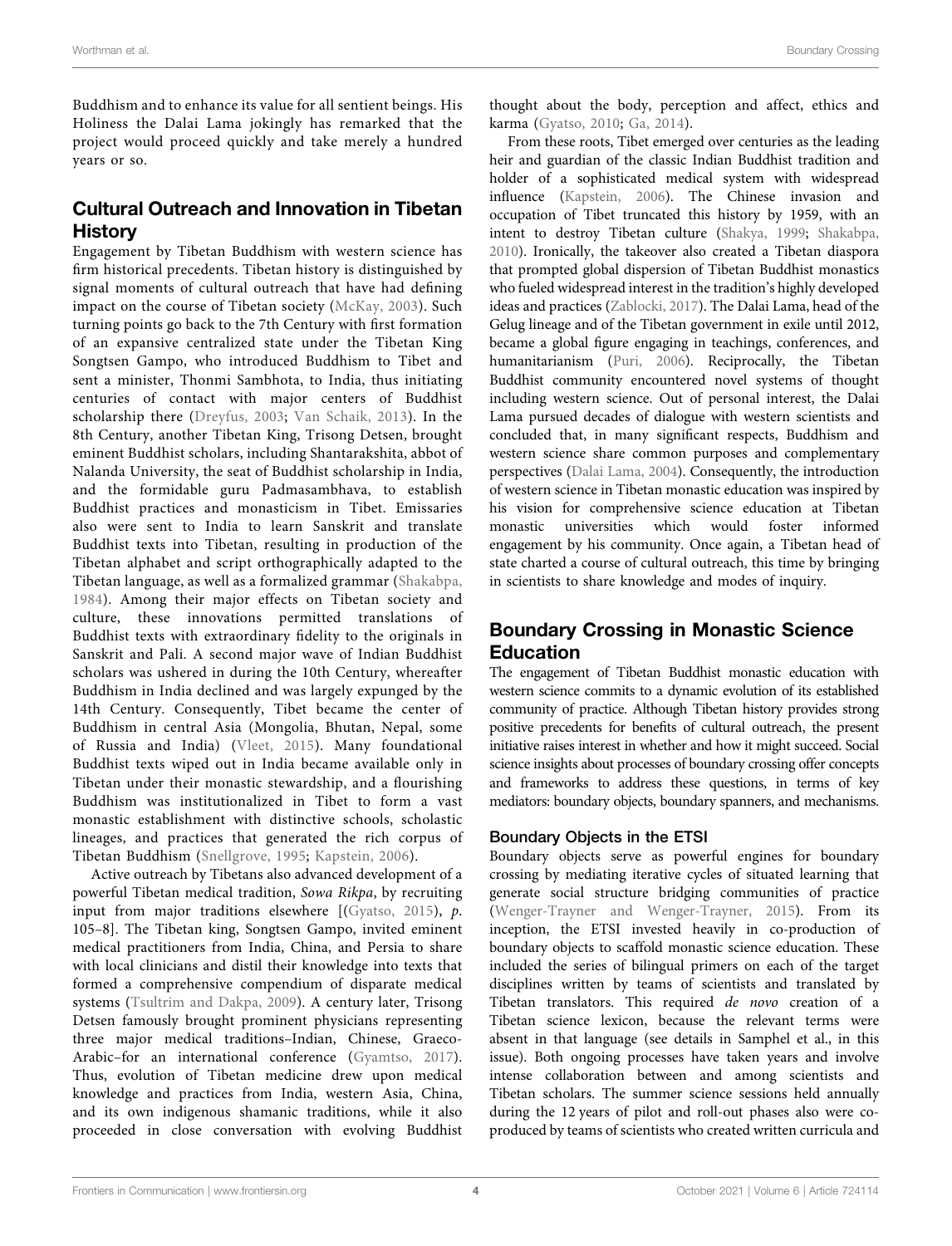Buddhism and to enhance its value for all sentient beings. His Holiness the Dalai Lama jokingly has remarked that the project would proceed quickly and take merely a hundred years or so.

# Cultural Outreach and Innovation in Tibetan History

Engagement by Tibetan Buddhism with western science has firm historical precedents. Tibetan history is distinguished by signal moments of cultural outreach that have had defining impact on the course of Tibetan society ([McKay, 2003\)](#page-16-30). Such turning points go back to the 7th Century with first formation of an expansive centralized state under the Tibetan King Songtsen Gampo, who introduced Buddhism to Tibet and sent a minister, Thonmi Sambhota, to India, thus initiating centuries of contact with major centers of Buddhist scholarship there ([Dreyfus, 2003;](#page-16-31) [Van Schaik, 2013\)](#page-17-15). In the 8th Century, another Tibetan King, Trisong Detsen, brought eminent Buddhist scholars, including Shantarakshita, abbot of Nalanda University, the seat of Buddhist scholarship in India, and the formidable guru Padmasambhava, to establish Buddhist practices and monasticism in Tibet. Emissaries also were sent to India to learn Sanskrit and translate Buddhist texts into Tibetan, resulting in production of the Tibetan alphabet and script orthographically adapted to the Tibetan language, as well as a formalized grammar [\(Shakabpa,](#page-17-16) [1984](#page-17-16)). Among their major effects on Tibetan society and culture, these innovations permitted translations of Buddhist texts with extraordinary fidelity to the originals in Sanskrit and Pali. A second major wave of Indian Buddhist scholars was ushered in during the 10th Century, whereafter Buddhism in India declined and was largely expunged by the 14th Century. Consequently, Tibet became the center of Buddhism in central Asia (Mongolia, Bhutan, Nepal, some of Russia and India) ([Vleet, 2015\)](#page-17-17). Many foundational Buddhist texts wiped out in India became available only in Tibetan under their monastic stewardship, and a flourishing Buddhism was institutionalized in Tibet to form a vast monastic establishment with distinctive schools, scholastic lineages, and practices that generated the rich corpus of Tibetan Buddhism ([Snellgrove, 1995](#page-17-18); [Kapstein, 2006](#page-16-32)).

Active outreach by Tibetans also advanced development of a powerful Tibetan medical tradition, Sowa Rikpa, by recruiting input from major traditions elsewhere [([Gyatso, 2015](#page-16-33)), p. 105–8]. The Tibetan king, Songtsen Gampo, invited eminent medical practitioners from India, China, and Persia to share with local clinicians and distil their knowledge into texts that formed a comprehensive compendium of disparate medical systems ([Tsultrim and Dakpa, 2009\)](#page-16-34). A century later, Trisong Detsen famously brought prominent physicians representing three major medical traditions–Indian, Chinese, Graeco-Arabic–for an international conference ([Gyamtso, 2017\)](#page-16-35). Thus, evolution of Tibetan medicine drew upon medical knowledge and practices from India, western Asia, China, and its own indigenous shamanic traditions, while it also proceeded in close conversation with evolving Buddhist

thought about the body, perception and affect, ethics and karma [\(Gyatso, 2010;](#page-16-36) [Ga, 2014](#page-16-37)).

From these roots, Tibet emerged over centuries as the leading heir and guardian of the classic Indian Buddhist tradition and holder of a sophisticated medical system with widespread influence [\(Kapstein, 2006](#page-16-32)). The Chinese invasion and occupation of Tibet truncated this history by 1959, with an intent to destroy Tibetan culture [\(Shakya, 1999;](#page-17-19) [Shakabpa,](#page-17-20) [2010](#page-17-20)). Ironically, the takeover also created a Tibetan diaspora that prompted global dispersion of Tibetan Buddhist monastics who fueled widespread interest in the tradition's highly developed ideas and practices ([Zablocki, 2017\)](#page-17-21). The Dalai Lama, head of the Gelug lineage and of the Tibetan government in exile until 2012, became a global figure engaging in teachings, conferences, and humanitarianism [\(Puri, 2006\)](#page-16-38). Reciprocally, the Tibetan Buddhist community encountered novel systems of thought including western science. Out of personal interest, the Dalai Lama pursued decades of dialogue with western scientists and concluded that, in many significant respects, Buddhism and western science share common purposes and complementary perspectives ([Dalai Lama, 2004\)](#page-16-0). Consequently, the introduction of western science in Tibetan monastic education was inspired by his vision for comprehensive science education at Tibetan monastic universities which would foster informed engagement by his community. Once again, a Tibetan head of state charted a course of cultural outreach, this time by bringing in scientists to share knowledge and modes of inquiry.

# Boundary Crossing in Monastic Science Education

The engagement of Tibetan Buddhist monastic education with western science commits to a dynamic evolution of its established community of practice. Although Tibetan history provides strong positive precedents for benefits of cultural outreach, the present initiative raises interest in whether and how it might succeed. Social science insights about processes of boundary crossing offer concepts and frameworks to address these questions, in terms of key mediators: boundary objects, boundary spanners, and mechanisms.

### Boundary Objects in the ETSI

Boundary objects serve as powerful engines for boundary crossing by mediating iterative cycles of situated learning that generate social structure bridging communities of practice [\(Wenger-Trayner and Wenger-Trayner, 2015](#page-17-7)). From its inception, the ETSI invested heavily in co-production of boundary objects to scaffold monastic science education. These included the series of bilingual primers on each of the target disciplines written by teams of scientists and translated by Tibetan translators. This required de novo creation of a Tibetan science lexicon, because the relevant terms were absent in that language (see details in Samphel et al., in this issue). Both ongoing processes have taken years and involve intense collaboration between and among scientists and Tibetan scholars. The summer science sessions held annually during the 12 years of pilot and roll-out phases also were coproduced by teams of scientists who created written curricula and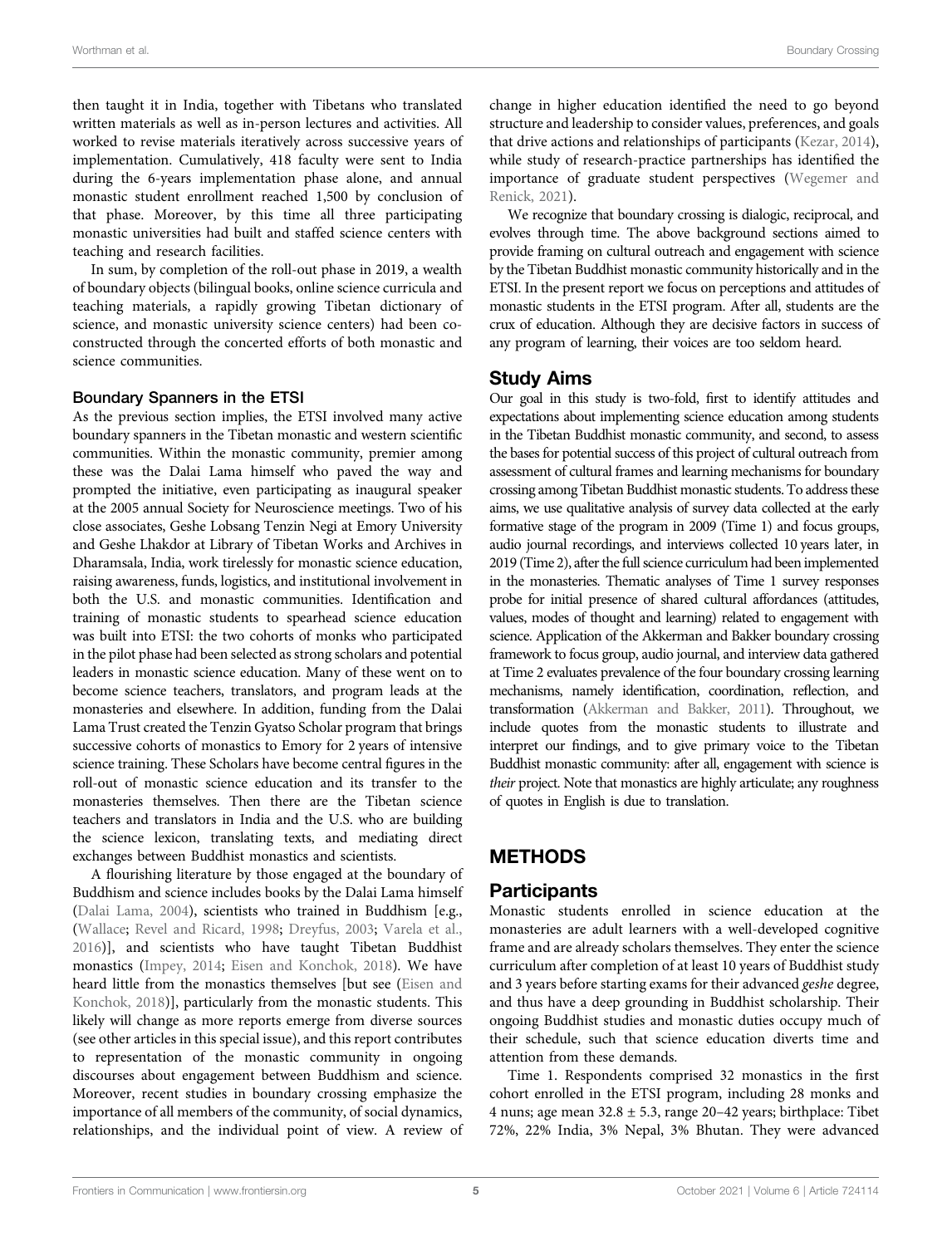then taught it in India, together with Tibetans who translated written materials as well as in-person lectures and activities. All worked to revise materials iteratively across successive years of implementation. Cumulatively, 418 faculty were sent to India during the 6-years implementation phase alone, and annual monastic student enrollment reached 1,500 by conclusion of that phase. Moreover, by this time all three participating monastic universities had built and staffed science centers with teaching and research facilities.

In sum, by completion of the roll-out phase in 2019, a wealth of boundary objects (bilingual books, online science curricula and teaching materials, a rapidly growing Tibetan dictionary of science, and monastic university science centers) had been coconstructed through the concerted efforts of both monastic and science communities.

#### Boundary Spanners in the ETSI

As the previous section implies, the ETSI involved many active boundary spanners in the Tibetan monastic and western scientific communities. Within the monastic community, premier among these was the Dalai Lama himself who paved the way and prompted the initiative, even participating as inaugural speaker at the 2005 annual Society for Neuroscience meetings. Two of his close associates, Geshe Lobsang Tenzin Negi at Emory University and Geshe Lhakdor at Library of Tibetan Works and Archives in Dharamsala, India, work tirelessly for monastic science education, raising awareness, funds, logistics, and institutional involvement in both the U.S. and monastic communities. Identification and training of monastic students to spearhead science education was built into ETSI: the two cohorts of monks who participated in the pilot phase had been selected as strong scholars and potential leaders in monastic science education. Many of these went on to become science teachers, translators, and program leads at the monasteries and elsewhere. In addition, funding from the Dalai Lama Trust created the Tenzin Gyatso Scholar program that brings successive cohorts of monastics to Emory for 2 years of intensive science training. These Scholars have become central figures in the roll-out of monastic science education and its transfer to the monasteries themselves. Then there are the Tibetan science teachers and translators in India and the U.S. who are building the science lexicon, translating texts, and mediating direct exchanges between Buddhist monastics and scientists.

A flourishing literature by those engaged at the boundary of Buddhism and science includes books by the Dalai Lama himself ([Dalai Lama, 2004\)](#page-16-0), scientists who trained in Buddhism [e.g., ([Wallace;](#page-17-22) [Revel and Ricard, 1998;](#page-16-39) [Dreyfus, 2003](#page-16-31); [Varela et al.,](#page-17-23) [2016](#page-17-23))], and scientists who have taught Tibetan Buddhist monastics [\(Impey, 2014;](#page-16-40) [Eisen and Konchok, 2018](#page-16-41)). We have heard little from the monastics themselves [but see [\(Eisen and](#page-16-41) [Konchok, 2018](#page-16-41))], particularly from the monastic students. This likely will change as more reports emerge from diverse sources (see other articles in this special issue), and this report contributes to representation of the monastic community in ongoing discourses about engagement between Buddhism and science. Moreover, recent studies in boundary crossing emphasize the importance of all members of the community, of social dynamics, relationships, and the individual point of view. A review of

change in higher education identified the need to go beyond structure and leadership to consider values, preferences, and goals that drive actions and relationships of participants [\(Kezar, 2014\)](#page-16-42), while study of research-practice partnerships has identified the importance of graduate student perspectives ([Wegemer and](#page-17-12) [Renick, 2021](#page-17-12)).

We recognize that boundary crossing is dialogic, reciprocal, and evolves through time. The above background sections aimed to provide framing on cultural outreach and engagement with science by the Tibetan Buddhist monastic community historically and in the ETSI. In the present report we focus on perceptions and attitudes of monastic students in the ETSI program. After all, students are the crux of education. Although they are decisive factors in success of any program of learning, their voices are too seldom heard.

### Study Aims

Our goal in this study is two-fold, first to identify attitudes and expectations about implementing science education among students in the Tibetan Buddhist monastic community, and second, to assess the bases for potential success of this project of cultural outreach from assessment of cultural frames and learning mechanisms for boundary crossing among Tibetan Buddhist monastic students. To address these aims, we use qualitative analysis of survey data collected at the early formative stage of the program in 2009 (Time 1) and focus groups, audio journal recordings, and interviews collected 10 years later, in 2019 (Time 2), after the full science curriculum had been implemented in the monasteries. Thematic analyses of Time 1 survey responses probe for initial presence of shared cultural affordances (attitudes, values, modes of thought and learning) related to engagement with science. Application of the Akkerman and Bakker boundary crossing framework to focus group, audio journal, and interview data gathered at Time 2 evaluates prevalence of the four boundary crossing learning mechanisms, namely identification, coordination, reflection, and transformation ([Akkerman and Bakker, 2011](#page-16-2)). Throughout, we include quotes from the monastic students to illustrate and interpret our findings, and to give primary voice to the Tibetan Buddhist monastic community: after all, engagement with science is their project. Note that monastics are highly articulate; any roughness of quotes in English is due to translation.

### **METHODS**

### Participants

Monastic students enrolled in science education at the monasteries are adult learners with a well-developed cognitive frame and are already scholars themselves. They enter the science curriculum after completion of at least 10 years of Buddhist study and 3 years before starting exams for their advanced geshe degree, and thus have a deep grounding in Buddhist scholarship. Their ongoing Buddhist studies and monastic duties occupy much of their schedule, such that science education diverts time and attention from these demands.

Time 1. Respondents comprised 32 monastics in the first cohort enrolled in the ETSI program, including 28 monks and 4 nuns; age mean  $32.8 \pm 5.3$ , range 20–42 years; birthplace: Tibet 72%, 22% India, 3% Nepal, 3% Bhutan. They were advanced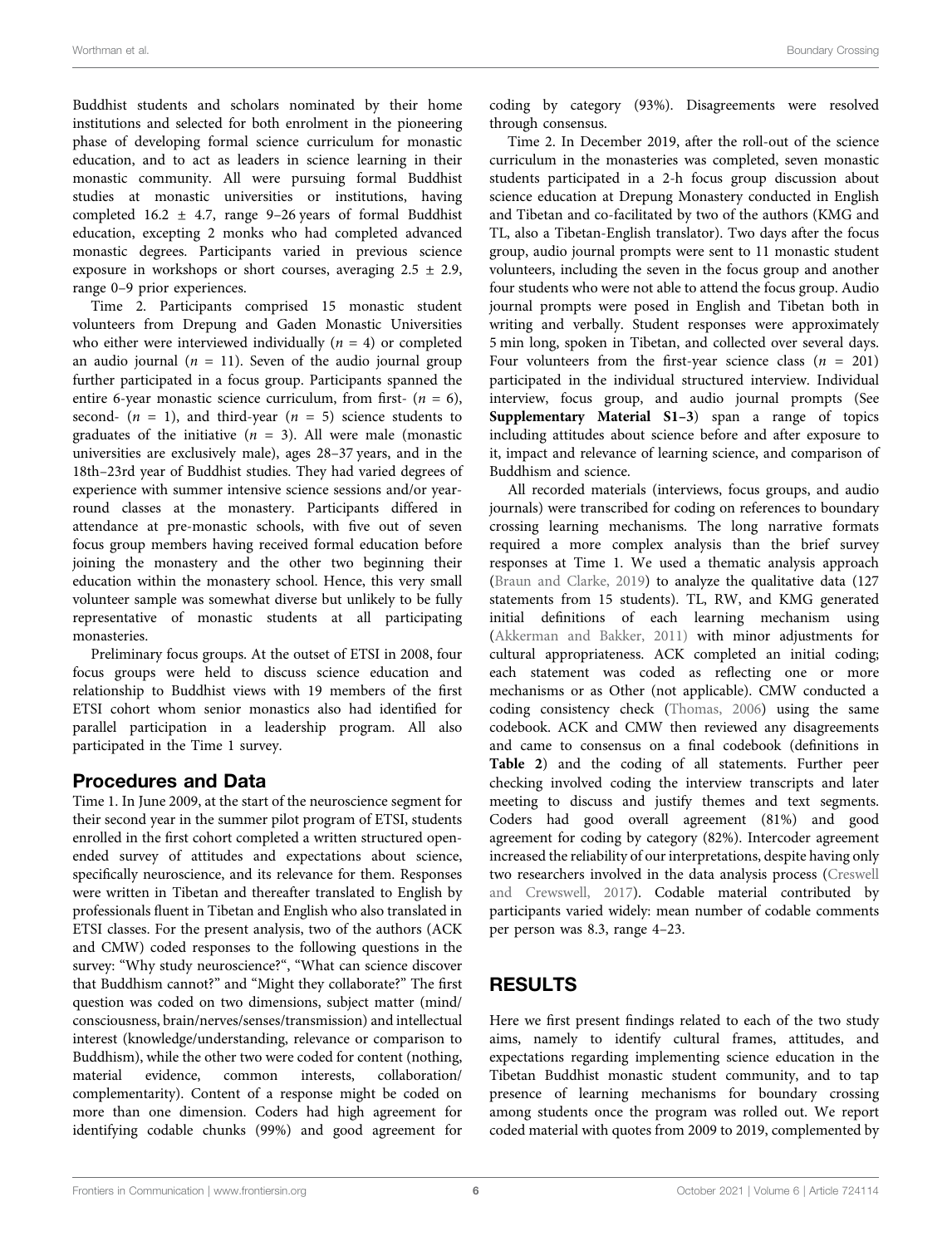Buddhist students and scholars nominated by their home institutions and selected for both enrolment in the pioneering phase of developing formal science curriculum for monastic education, and to act as leaders in science learning in their monastic community. All were pursuing formal Buddhist studies at monastic universities or institutions, having completed 16.2  $\pm$  4.7, range 9–26 years of formal Buddhist education, excepting 2 monks who had completed advanced monastic degrees. Participants varied in previous science exposure in workshops or short courses, averaging  $2.5 \pm 2.9$ , range 0–9 prior experiences.

Time 2. Participants comprised 15 monastic student volunteers from Drepung and Gaden Monastic Universities who either were interviewed individually  $(n = 4)$  or completed an audio journal ( $n = 11$ ). Seven of the audio journal group further participated in a focus group. Participants spanned the entire 6-year monastic science curriculum, from first-  $(n = 6)$ , second-  $(n = 1)$ , and third-year  $(n = 5)$  science students to graduates of the initiative ( $n = 3$ ). All were male (monastic universities are exclusively male), ages 28–37 years, and in the 18th–23rd year of Buddhist studies. They had varied degrees of experience with summer intensive science sessions and/or yearround classes at the monastery. Participants differed in attendance at pre-monastic schools, with five out of seven focus group members having received formal education before joining the monastery and the other two beginning their education within the monastery school. Hence, this very small volunteer sample was somewhat diverse but unlikely to be fully representative of monastic students at all participating monasteries.

Preliminary focus groups. At the outset of ETSI in 2008, four focus groups were held to discuss science education and relationship to Buddhist views with 19 members of the first ETSI cohort whom senior monastics also had identified for parallel participation in a leadership program. All also participated in the Time 1 survey.

#### Procedures and Data

Time 1. In June 2009, at the start of the neuroscience segment for their second year in the summer pilot program of ETSI, students enrolled in the first cohort completed a written structured openended survey of attitudes and expectations about science, specifically neuroscience, and its relevance for them. Responses were written in Tibetan and thereafter translated to English by professionals fluent in Tibetan and English who also translated in ETSI classes. For the present analysis, two of the authors (ACK and CMW) coded responses to the following questions in the survey: "Why study neuroscience?", "What can science discover that Buddhism cannot?" and "Might they collaborate?" The first question was coded on two dimensions, subject matter (mind/ consciousness, brain/nerves/senses/transmission) and intellectual interest (knowledge/understanding, relevance or comparison to Buddhism), while the other two were coded for content (nothing, material evidence, common interests, collaboration/ complementarity). Content of a response might be coded on more than one dimension. Coders had high agreement for identifying codable chunks (99%) and good agreement for

coding by category (93%). Disagreements were resolved through consensus.

Time 2. In December 2019, after the roll-out of the science curriculum in the monasteries was completed, seven monastic students participated in a 2-h focus group discussion about science education at Drepung Monastery conducted in English and Tibetan and co-facilitated by two of the authors (KMG and TL, also a Tibetan-English translator). Two days after the focus group, audio journal prompts were sent to 11 monastic student volunteers, including the seven in the focus group and another four students who were not able to attend the focus group. Audio journal prompts were posed in English and Tibetan both in writing and verbally. Student responses were approximately 5 min long, spoken in Tibetan, and collected over several days. Four volunteers from the first-year science class ( $n = 201$ ) participated in the individual structured interview. Individual interview, focus group, and audio journal prompts (See [Supplementary Material S1](#page-15-0)–[3](#page-15-0)) span a range of topics including attitudes about science before and after exposure to it, impact and relevance of learning science, and comparison of Buddhism and science.

All recorded materials (interviews, focus groups, and audio journals) were transcribed for coding on references to boundary crossing learning mechanisms. The long narrative formats required a more complex analysis than the brief survey responses at Time 1. We used a thematic analysis approach [\(Braun and Clarke, 2019](#page-16-43)) to analyze the qualitative data (127 statements from 15 students). TL, RW, and KMG generated initial definitions of each learning mechanism using [\(Akkerman and Bakker, 2011\)](#page-16-2) with minor adjustments for cultural appropriateness. ACK completed an initial coding; each statement was coded as reflecting one or more mechanisms or as Other (not applicable). CMW conducted a coding consistency check ([Thomas, 2006](#page-17-24)) using the same codebook. ACK and CMW then reviewed any disagreements and came to consensus on a final codebook (definitions in [Table 2](#page-10-0)) and the coding of all statements. Further peer checking involved coding the interview transcripts and later meeting to discuss and justify themes and text segments. Coders had good overall agreement (81%) and good agreement for coding by category (82%). Intercoder agreement increased the reliability of our interpretations, despite having only two researchers involved in the data analysis process ([Creswell](#page-16-44) [and Crewswell, 2017\)](#page-16-44). Codable material contributed by participants varied widely: mean number of codable comments per person was 8.3, range 4–23.

### RESULTS

Here we first present findings related to each of the two study aims, namely to identify cultural frames, attitudes, and expectations regarding implementing science education in the Tibetan Buddhist monastic student community, and to tap presence of learning mechanisms for boundary crossing among students once the program was rolled out. We report coded material with quotes from 2009 to 2019, complemented by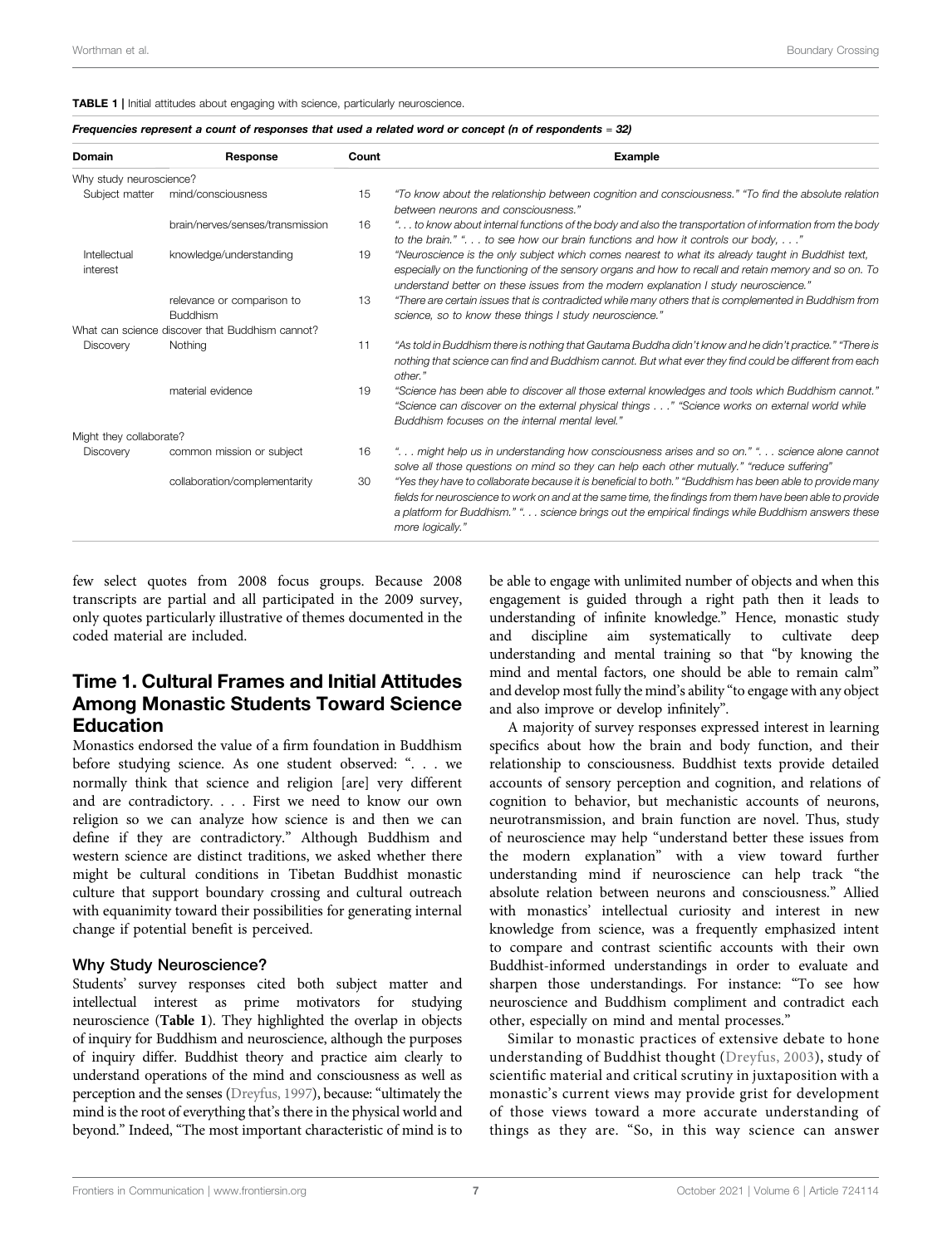#### <span id="page-8-0"></span>TABLE 1 | Initial attitudes about engaging with science, particularly neuroscience.

| Frequencies represent a count of responses that used a related word or concept (n of respondents = 32) |
|--------------------------------------------------------------------------------------------------------|
|--------------------------------------------------------------------------------------------------------|

| Domain                   | Response                                        | Count | <b>Example</b>                                                                                                                                                                                                                                                                                                                                   |
|--------------------------|-------------------------------------------------|-------|--------------------------------------------------------------------------------------------------------------------------------------------------------------------------------------------------------------------------------------------------------------------------------------------------------------------------------------------------|
| Why study neuroscience?  |                                                 |       |                                                                                                                                                                                                                                                                                                                                                  |
| Subject matter           | mind/consciousness                              | 15    | "To know about the relationship between cognition and consciousness." "To find the absolute relation<br>between neurons and consciousness."                                                                                                                                                                                                      |
|                          | brain/nerves/senses/transmission                | 16    | " to know about internal functions of the body and also the transportation of information from the body<br>to the brain." " to see how our brain functions and how it controls our body, "                                                                                                                                                       |
| Intellectual<br>interest | knowledge/understanding                         | 19    | "Neuroscience is the only subject which comes nearest to what its already taught in Buddhist text,<br>especially on the functioning of the sensory organs and how to recall and retain memory and so on. To<br>understand better on these issues from the modern explanation I study neuroscience."                                              |
|                          | relevance or comparison to<br><b>Buddhism</b>   | 13    | "There are certain issues that is contradicted while many others that is complemented in Buddhism from<br>science, so to know these things I study neuroscience."                                                                                                                                                                                |
|                          | What can science discover that Buddhism cannot? |       |                                                                                                                                                                                                                                                                                                                                                  |
| Discovery                | Nothing                                         | 11    | "As told in Buddhism there is nothing that Gautama Buddha didn't know and he didn't practice." "There is<br>nothing that science can find and Buddhism cannot. But what ever they find could be different from each<br>other."                                                                                                                   |
|                          | material evidence                               | 19    | "Science has been able to discover all those external knowledges and tools which Buddhism cannot."<br>"Science can discover on the external physical things" "Science works on external world while<br>Buddhism focuses on the internal mental level."                                                                                           |
| Might they collaborate?  |                                                 |       |                                                                                                                                                                                                                                                                                                                                                  |
| Discovery                | common mission or subject                       | 16    | " might help us in understanding how consciousness arises and so on." " science alone cannot<br>solve all those questions on mind so they can help each other mutually." "reduce suffering"                                                                                                                                                      |
|                          | collaboration/complementarity                   | 30    | "Yes they have to collaborate because it is beneficial to both." "Buddhism has been able to provide many<br>fields for neuroscience to work on and at the same time, the findings from them have been able to provide<br>a platform for Buddhism." ". science brings out the empirical findings while Buddhism answers these<br>more logically." |

few select quotes from 2008 focus groups. Because 2008 transcripts are partial and all participated in the 2009 survey, only quotes particularly illustrative of themes documented in the coded material are included.

# Time 1. Cultural Frames and Initial Attitudes Among Monastic Students Toward Science Education

Monastics endorsed the value of a firm foundation in Buddhism before studying science. As one student observed: ". . . we normally think that science and religion [are] very different and are contradictory. . . . First we need to know our own religion so we can analyze how science is and then we can define if they are contradictory." Although Buddhism and western science are distinct traditions, we asked whether there might be cultural conditions in Tibetan Buddhist monastic culture that support boundary crossing and cultural outreach with equanimity toward their possibilities for generating internal change if potential benefit is perceived.

#### Why Study Neuroscience?

Students' survey responses cited both subject matter and intellectual interest as prime motivators for studying neuroscience ([Table 1](#page-8-0)). They highlighted the overlap in objects of inquiry for Buddhism and neuroscience, although the purposes of inquiry differ. Buddhist theory and practice aim clearly to understand operations of the mind and consciousness as well as perception and the senses [\(Dreyfus, 1997](#page-16-45)), because: "ultimately the mind is the root of everything that's there in the physical world and beyond." Indeed, "The most important characteristic of mind is to

be able to engage with unlimited number of objects and when this engagement is guided through a right path then it leads to understanding of infinite knowledge." Hence, monastic study and discipline aim systematically to cultivate deep understanding and mental training so that "by knowing the mind and mental factors, one should be able to remain calm" and develop most fully the mind's ability "to engage with any object and also improve or develop infinitely".

A majority of survey responses expressed interest in learning specifics about how the brain and body function, and their relationship to consciousness. Buddhist texts provide detailed accounts of sensory perception and cognition, and relations of cognition to behavior, but mechanistic accounts of neurons, neurotransmission, and brain function are novel. Thus, study of neuroscience may help "understand better these issues from the modern explanation" with a view toward further understanding mind if neuroscience can help track "the absolute relation between neurons and consciousness." Allied with monastics' intellectual curiosity and interest in new knowledge from science, was a frequently emphasized intent to compare and contrast scientific accounts with their own Buddhist-informed understandings in order to evaluate and sharpen those understandings. For instance: "To see how neuroscience and Buddhism compliment and contradict each other, especially on mind and mental processes."

Similar to monastic practices of extensive debate to hone understanding of Buddhist thought ([Dreyfus, 2003\)](#page-16-31), study of scientific material and critical scrutiny in juxtaposition with a monastic's current views may provide grist for development of those views toward a more accurate understanding of things as they are. "So, in this way science can answer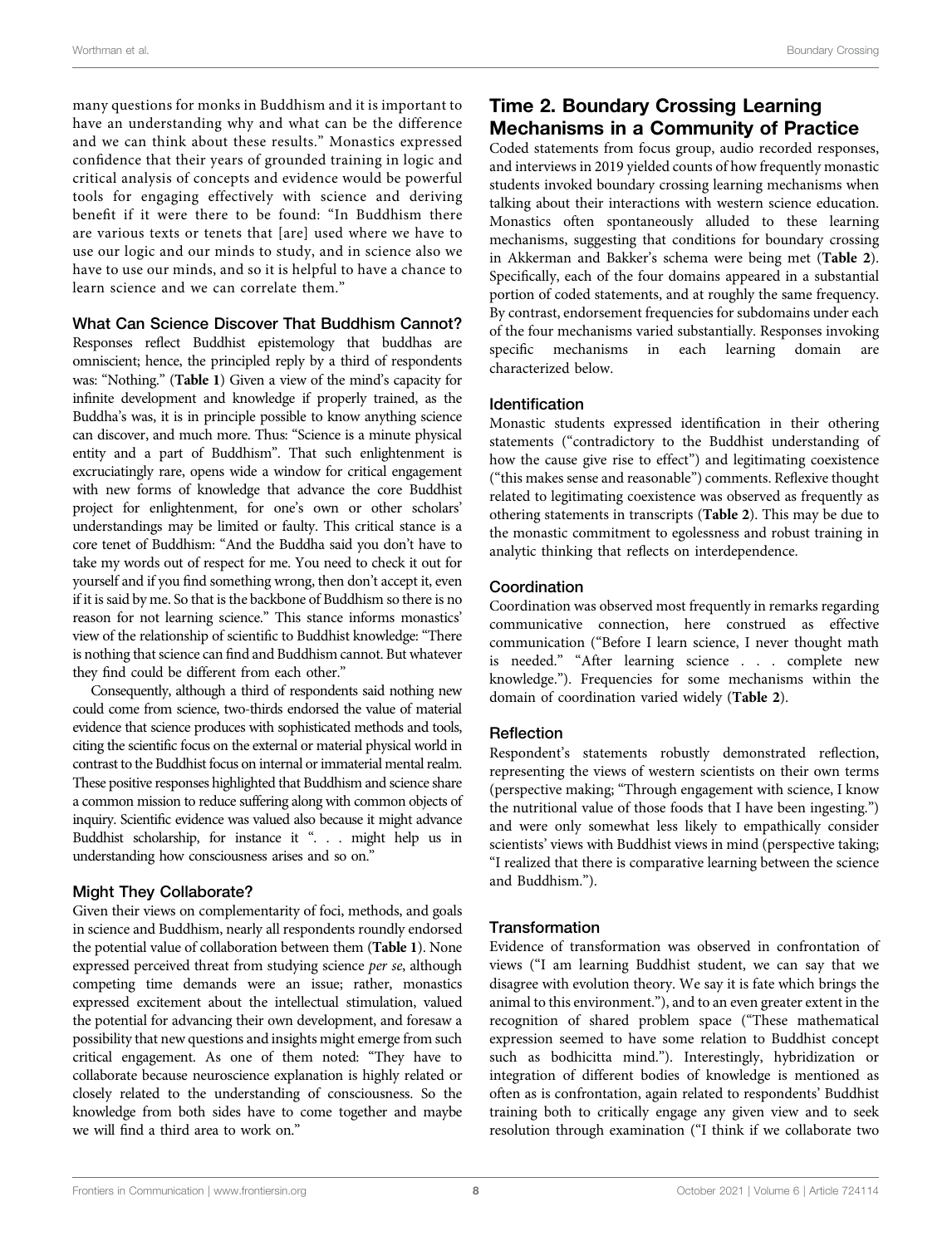many questions for monks in Buddhism and it is important to have an understanding why and what can be the difference and we can think about these results." Monastics expressed confidence that their years of grounded training in logic and critical analysis of concepts and evidence would be powerful tools for engaging effectively with science and deriving benefit if it were there to be found: "In Buddhism there are various texts or tenets that [are] used where we have to use our logic and our minds to study, and in science also we have to use our minds, and so it is helpful to have a chance to learn science and we can correlate them."

#### What Can Science Discover That Buddhism Cannot?

Responses reflect Buddhist epistemology that buddhas are omniscient; hence, the principled reply by a third of respondents was: "Nothing." ([Table 1](#page-8-0)) Given a view of the mind's capacity for infinite development and knowledge if properly trained, as the Buddha's was, it is in principle possible to know anything science can discover, and much more. Thus: "Science is a minute physical entity and a part of Buddhism". That such enlightenment is excruciatingly rare, opens wide a window for critical engagement with new forms of knowledge that advance the core Buddhist project for enlightenment, for one's own or other scholars' understandings may be limited or faulty. This critical stance is a core tenet of Buddhism: "And the Buddha said you don't have to take my words out of respect for me. You need to check it out for yourself and if you find something wrong, then don't accept it, even if it is said by me. So that is the backbone of Buddhism so there is no reason for not learning science." This stance informs monastics' view of the relationship of scientific to Buddhist knowledge: "There is nothing that science can find and Buddhism cannot. But whatever they find could be different from each other."

Consequently, although a third of respondents said nothing new could come from science, two-thirds endorsed the value of material evidence that science produces with sophisticated methods and tools, citing the scientific focus on the external or material physical world in contrast to the Buddhist focus on internal or immaterial mental realm. These positive responses highlighted that Buddhism and science share a common mission to reduce suffering along with common objects of inquiry. Scientific evidence was valued also because it might advance Buddhist scholarship, for instance it ". . . might help us in understanding how consciousness arises and so on."

#### Might They Collaborate?

Given their views on complementarity of foci, methods, and goals in science and Buddhism, nearly all respondents roundly endorsed the potential value of collaboration between them ([Table 1](#page-8-0)). None expressed perceived threat from studying science per se, although competing time demands were an issue; rather, monastics expressed excitement about the intellectual stimulation, valued the potential for advancing their own development, and foresaw a possibility that new questions and insights might emerge from such critical engagement. As one of them noted: "They have to collaborate because neuroscience explanation is highly related or closely related to the understanding of consciousness. So the knowledge from both sides have to come together and maybe we will find a third area to work on."

# Time 2. Boundary Crossing Learning Mechanisms in a Community of Practice

Coded statements from focus group, audio recorded responses, and interviews in 2019 yielded counts of how frequently monastic students invoked boundary crossing learning mechanisms when talking about their interactions with western science education. Monastics often spontaneously alluded to these learning mechanisms, suggesting that conditions for boundary crossing in Akkerman and Bakker's schema were being met ([Table 2](#page-10-0)). Specifically, each of the four domains appeared in a substantial portion of coded statements, and at roughly the same frequency. By contrast, endorsement frequencies for subdomains under each of the four mechanisms varied substantially. Responses invoking specific mechanisms in each learning domain are characterized below.

#### Identification

Monastic students expressed identification in their othering statements ("contradictory to the Buddhist understanding of how the cause give rise to effect") and legitimating coexistence ("this makes sense and reasonable") comments. Reflexive thought related to legitimating coexistence was observed as frequently as othering statements in transcripts ([Table 2](#page-10-0)). This may be due to the monastic commitment to egolessness and robust training in analytic thinking that reflects on interdependence.

#### Coordination

Coordination was observed most frequently in remarks regarding communicative connection, here construed as effective communication ("Before I learn science, I never thought math is needed." "After learning science . . . complete new knowledge."). Frequencies for some mechanisms within the domain of coordination varied widely ([Table 2](#page-10-0)).

#### Reflection

Respondent's statements robustly demonstrated reflection, representing the views of western scientists on their own terms (perspective making; "Through engagement with science, I know the nutritional value of those foods that I have been ingesting.") and were only somewhat less likely to empathically consider scientists' views with Buddhist views in mind (perspective taking; "I realized that there is comparative learning between the science and Buddhism.").

#### **Transformation**

Evidence of transformation was observed in confrontation of views ("I am learning Buddhist student, we can say that we disagree with evolution theory. We say it is fate which brings the animal to this environment."), and to an even greater extent in the recognition of shared problem space ("These mathematical expression seemed to have some relation to Buddhist concept such as bodhicitta mind."). Interestingly, hybridization or integration of different bodies of knowledge is mentioned as often as is confrontation, again related to respondents' Buddhist training both to critically engage any given view and to seek resolution through examination ("I think if we collaborate two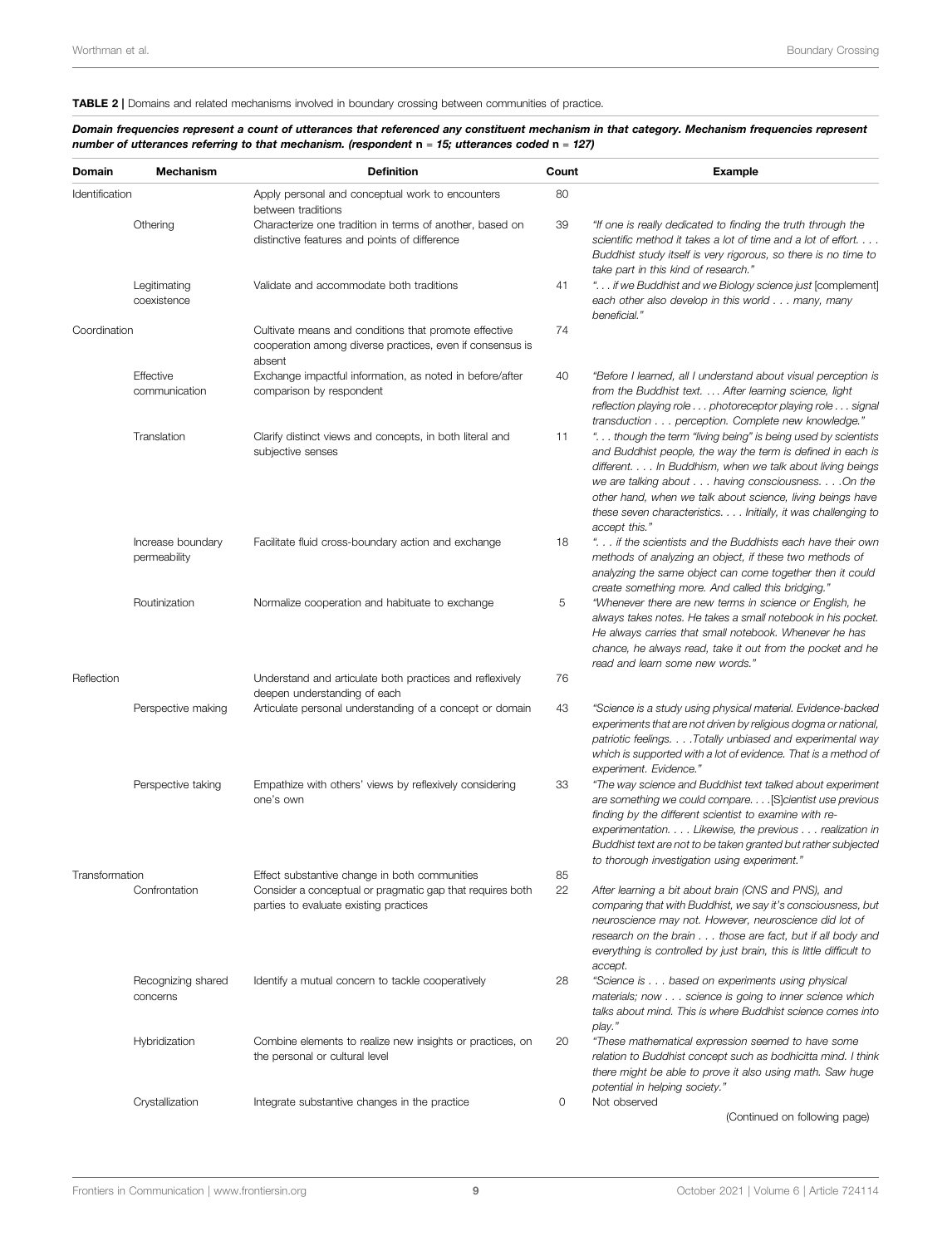#### <span id="page-10-0"></span>TABLE 2 | Domains and related mechanisms involved in boundary crossing between communities of practice.

Domain frequencies represent a count of utterances that referenced any constituent mechanism in that category. Mechanism frequencies represent number of utterances referring to that mechanism. (respondent n = 15; utterances coded n = 127)

| Identification<br>Othering<br>Legitimating<br>coexistence<br>Coordination<br>Effective<br>communication<br>Translation<br>Increase boundary<br>permeability<br>Routinization | Apply personal and conceptual work to encounters<br>between traditions<br>Characterize one tradition in terms of another, based on<br>distinctive features and points of difference | 80<br>39 |                                                                                                                                                                                                                                                                                                                                                                                              |
|------------------------------------------------------------------------------------------------------------------------------------------------------------------------------|-------------------------------------------------------------------------------------------------------------------------------------------------------------------------------------|----------|----------------------------------------------------------------------------------------------------------------------------------------------------------------------------------------------------------------------------------------------------------------------------------------------------------------------------------------------------------------------------------------------|
|                                                                                                                                                                              |                                                                                                                                                                                     |          |                                                                                                                                                                                                                                                                                                                                                                                              |
|                                                                                                                                                                              |                                                                                                                                                                                     |          | "If one is really dedicated to finding the truth through the<br>scientific method it takes a lot of time and a lot of effort.<br>Buddhist study itself is very rigorous, so there is no time to<br>take part in this kind of research."                                                                                                                                                      |
|                                                                                                                                                                              | Validate and accommodate both traditions                                                                                                                                            | 41       | " if we Buddhist and we Biology science just [complement]<br>each other also develop in this world many, many<br>beneficial."                                                                                                                                                                                                                                                                |
|                                                                                                                                                                              | Cultivate means and conditions that promote effective<br>cooperation among diverse practices, even if consensus is<br>absent                                                        | 74       |                                                                                                                                                                                                                                                                                                                                                                                              |
|                                                                                                                                                                              | Exchange impactful information, as noted in before/after<br>comparison by respondent                                                                                                | 40       | "Before I learned, all I understand about visual perception is<br>from the Buddhist text. After learning science, light<br>reflection playing role photoreceptor playing role signal<br>transduction perception. Complete new knowledge."                                                                                                                                                    |
|                                                                                                                                                                              | Clarify distinct views and concepts, in both literal and<br>subjective senses                                                                                                       | 11       | " though the term "living being" is being used by scientists<br>and Buddhist people, the way the term is defined in each is<br>different. In Buddhism, when we talk about living beings<br>we are talking about having consciousness. On the<br>other hand, when we talk about science, living beings have<br>these seven characteristics. Initially, it was challenging to<br>accept this." |
|                                                                                                                                                                              | Facilitate fluid cross-boundary action and exchange                                                                                                                                 | 18       | " if the scientists and the Buddhists each have their own<br>methods of analyzing an object, if these two methods of<br>analyzing the same object can come together then it could<br>create something more. And called this bridging."                                                                                                                                                       |
|                                                                                                                                                                              | Normalize cooperation and habituate to exchange                                                                                                                                     | 5        | "Whenever there are new terms in science or English, he<br>always takes notes. He takes a small notebook in his pocket.<br>He always carries that small notebook. Whenever he has<br>chance, he always read, take it out from the pocket and he<br>read and learn some new words."                                                                                                           |
| Reflection                                                                                                                                                                   | Understand and articulate both practices and reflexively<br>deepen understanding of each                                                                                            | 76       |                                                                                                                                                                                                                                                                                                                                                                                              |
| Perspective making                                                                                                                                                           | Articulate personal understanding of a concept or domain                                                                                                                            | 43       | "Science is a study using physical material. Evidence-backed<br>experiments that are not driven by religious dogma or national,<br>patriotic feelings. Totally unbiased and experimental way<br>which is supported with a lot of evidence. That is a method of<br>experiment. Evidence."                                                                                                     |
| Perspective taking                                                                                                                                                           | Empathize with others' views by reflexively considering<br>one's own                                                                                                                | 33       | "The way science and Buddhist text talked about experiment<br>are something we could compare. [S]cientist use previous<br>finding by the different scientist to examine with re-<br>experimentation. Likewise, the previous realization in<br>Buddhist text are not to be taken granted but rather subjected<br>to thorough investigation using experiment."                                 |
| Transformation                                                                                                                                                               | Effect substantive change in both communities                                                                                                                                       | 85       |                                                                                                                                                                                                                                                                                                                                                                                              |
| Confrontation                                                                                                                                                                | Consider a conceptual or pragmatic gap that requires both<br>parties to evaluate existing practices                                                                                 | 22       | After learning a bit about brain (CNS and PNS), and<br>comparing that with Buddhist, we say it's consciousness, but<br>neuroscience may not. However, neuroscience did lot of<br>research on the brain those are fact, but if all body and<br>everything is controlled by just brain, this is little difficult to<br>accept.                                                                 |
| Recognizing shared<br>concerns                                                                                                                                               | Identify a mutual concern to tackle cooperatively                                                                                                                                   | 28       | "Science is based on experiments using physical<br>materials; now science is going to inner science which<br>talks about mind. This is where Buddhist science comes into<br>play."                                                                                                                                                                                                           |
| Hybridization                                                                                                                                                                | Combine elements to realize new insights or practices, on<br>the personal or cultural level                                                                                         | 20       | "These mathematical expression seemed to have some<br>relation to Buddhist concept such as bodhicitta mind. I think<br>there might be able to prove it also using math. Saw huge                                                                                                                                                                                                             |
| Crystallization                                                                                                                                                              |                                                                                                                                                                                     |          | potential in helping society."                                                                                                                                                                                                                                                                                                                                                               |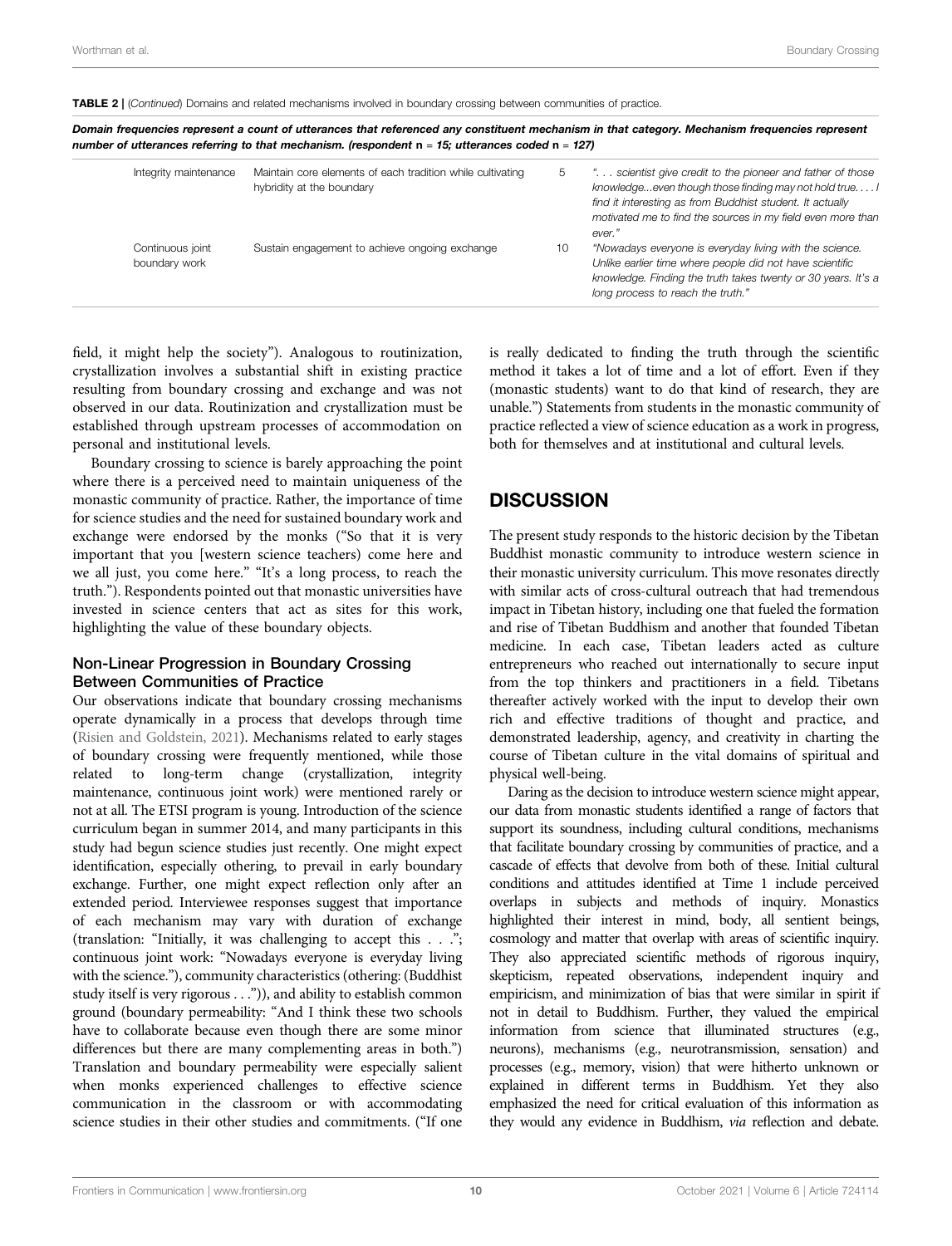TABLE 2 | (Continued) Domains and related mechanisms involved in boundary crossing between communities of practice.

Domain frequencies represent a count of utterances that referenced any constituent mechanism in that category. Mechanism frequencies represent number of utterances referring to that mechanism. (respondent n = 15; utterances coded n = 127)

| Integrity maintenance             | Maintain core elements of each tradition while cultivating<br>hybridity at the boundary | 5  | " scientist give credit to the pioneer and father of those<br>knowledgeeven though those finding may not hold true<br>find it interesting as from Buddhist student. It actually<br>motivated me to find the sources in my field even more than<br>ever." |
|-----------------------------------|-----------------------------------------------------------------------------------------|----|----------------------------------------------------------------------------------------------------------------------------------------------------------------------------------------------------------------------------------------------------------|
| Continuous joint<br>boundary work | Sustain engagement to achieve ongoing exchange                                          | 10 | "Nowadays everyone is everyday living with the science.<br>Unlike earlier time where people did not have scientific<br>knowledge. Finding the truth takes twenty or 30 years. It's a<br>long process to reach the truth."                                |
|                                   |                                                                                         |    |                                                                                                                                                                                                                                                          |

field, it might help the society"). Analogous to routinization, crystallization involves a substantial shift in existing practice resulting from boundary crossing and exchange and was not observed in our data. Routinization and crystallization must be established through upstream processes of accommodation on personal and institutional levels.

Boundary crossing to science is barely approaching the point where there is a perceived need to maintain uniqueness of the monastic community of practice. Rather, the importance of time for science studies and the need for sustained boundary work and exchange were endorsed by the monks ("So that it is very important that you [western science teachers) come here and we all just, you come here." "It's a long process, to reach the truth."). Respondents pointed out that monastic universities have invested in science centers that act as sites for this work, highlighting the value of these boundary objects.

#### Non-Linear Progression in Boundary Crossing Between Communities of Practice

Our observations indicate that boundary crossing mechanisms operate dynamically in a process that develops through time ([Risien and Goldstein, 2021\)](#page-16-10). Mechanisms related to early stages of boundary crossing were frequently mentioned, while those related to long-term change (crystallization, integrity maintenance, continuous joint work) were mentioned rarely or not at all. The ETSI program is young. Introduction of the science curriculum began in summer 2014, and many participants in this study had begun science studies just recently. One might expect identification, especially othering, to prevail in early boundary exchange. Further, one might expect reflection only after an extended period. Interviewee responses suggest that importance of each mechanism may vary with duration of exchange (translation: "Initially, it was challenging to accept this . . ."; continuous joint work: "Nowadays everyone is everyday living with the science."), community characteristics (othering: (Buddhist study itself is very rigorous . . .")), and ability to establish common ground (boundary permeability: "And I think these two schools have to collaborate because even though there are some minor differences but there are many complementing areas in both.") Translation and boundary permeability were especially salient when monks experienced challenges to effective science communication in the classroom or with accommodating science studies in their other studies and commitments. ("If one

is really dedicated to finding the truth through the scientific method it takes a lot of time and a lot of effort. Even if they (monastic students) want to do that kind of research, they are unable.") Statements from students in the monastic community of practice reflected a view of science education as a work in progress, both for themselves and at institutional and cultural levels.

# **DISCUSSION**

The present study responds to the historic decision by the Tibetan Buddhist monastic community to introduce western science in their monastic university curriculum. This move resonates directly with similar acts of cross-cultural outreach that had tremendous impact in Tibetan history, including one that fueled the formation and rise of Tibetan Buddhism and another that founded Tibetan medicine. In each case, Tibetan leaders acted as culture entrepreneurs who reached out internationally to secure input from the top thinkers and practitioners in a field. Tibetans thereafter actively worked with the input to develop their own rich and effective traditions of thought and practice, and demonstrated leadership, agency, and creativity in charting the course of Tibetan culture in the vital domains of spiritual and physical well-being.

Daring as the decision to introduce western science might appear, our data from monastic students identified a range of factors that support its soundness, including cultural conditions, mechanisms that facilitate boundary crossing by communities of practice, and a cascade of effects that devolve from both of these. Initial cultural conditions and attitudes identified at Time 1 include perceived overlaps in subjects and methods of inquiry. Monastics highlighted their interest in mind, body, all sentient beings, cosmology and matter that overlap with areas of scientific inquiry. They also appreciated scientific methods of rigorous inquiry, skepticism, repeated observations, independent inquiry and empiricism, and minimization of bias that were similar in spirit if not in detail to Buddhism. Further, they valued the empirical information from science that illuminated structures (e.g., neurons), mechanisms (e.g., neurotransmission, sensation) and processes (e.g., memory, vision) that were hitherto unknown or explained in different terms in Buddhism. Yet they also emphasized the need for critical evaluation of this information as they would any evidence in Buddhism, via reflection and debate.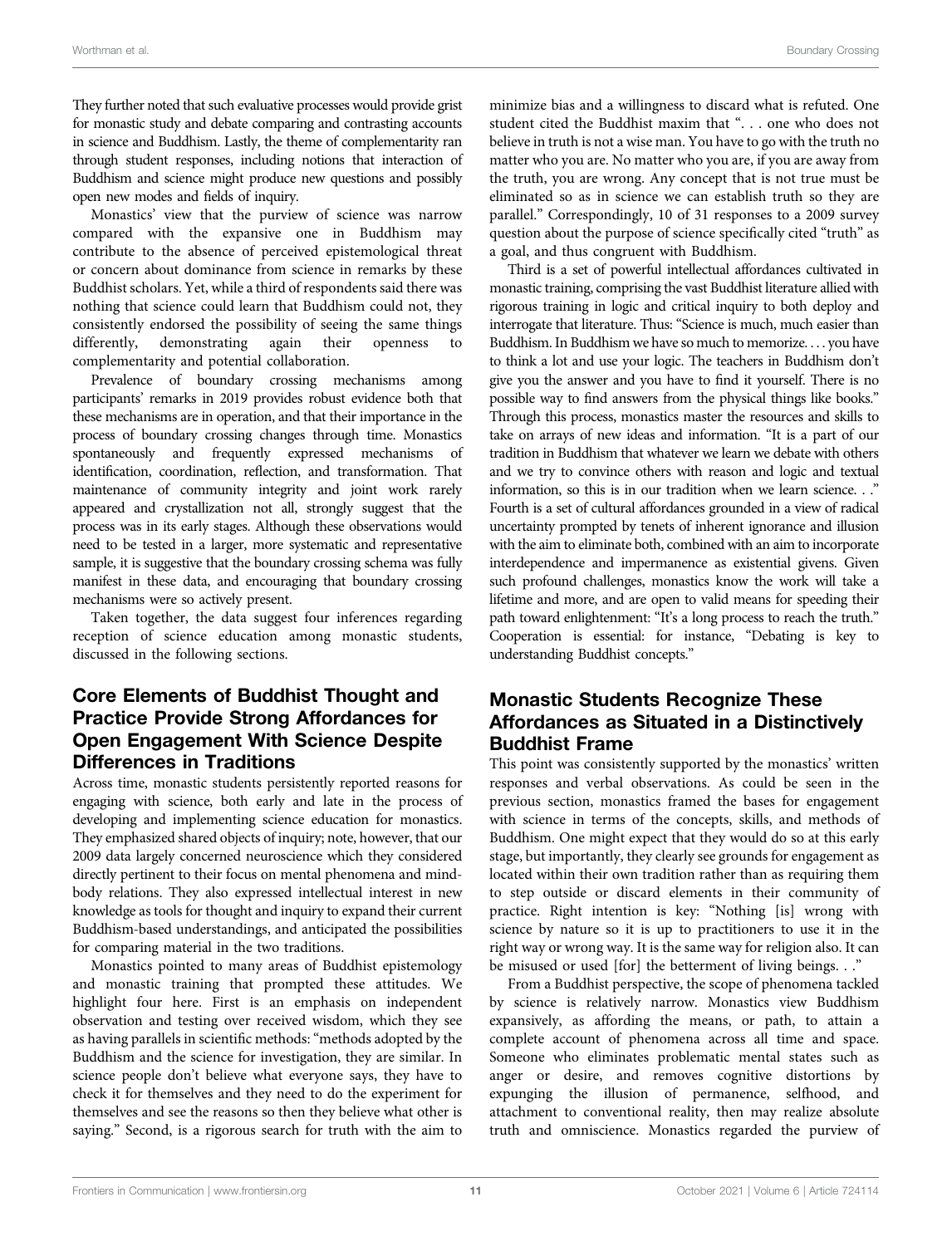They further noted that such evaluative processes would provide grist for monastic study and debate comparing and contrasting accounts in science and Buddhism. Lastly, the theme of complementarity ran through student responses, including notions that interaction of Buddhism and science might produce new questions and possibly open new modes and fields of inquiry.

Monastics' view that the purview of science was narrow compared with the expansive one in Buddhism may contribute to the absence of perceived epistemological threat or concern about dominance from science in remarks by these Buddhist scholars. Yet, while a third of respondents said there was nothing that science could learn that Buddhism could not, they consistently endorsed the possibility of seeing the same things differently, demonstrating again their openness to complementarity and potential collaboration.

Prevalence of boundary crossing mechanisms among participants' remarks in 2019 provides robust evidence both that these mechanisms are in operation, and that their importance in the process of boundary crossing changes through time. Monastics spontaneously and frequently expressed mechanisms of identification, coordination, reflection, and transformation. That maintenance of community integrity and joint work rarely appeared and crystallization not all, strongly suggest that the process was in its early stages. Although these observations would need to be tested in a larger, more systematic and representative sample, it is suggestive that the boundary crossing schema was fully manifest in these data, and encouraging that boundary crossing mechanisms were so actively present.

Taken together, the data suggest four inferences regarding reception of science education among monastic students, discussed in the following sections.

# Core Elements of Buddhist Thought and Practice Provide Strong Affordances for Open Engagement With Science Despite Differences in Traditions

Across time, monastic students persistently reported reasons for engaging with science, both early and late in the process of developing and implementing science education for monastics. They emphasized shared objects of inquiry; note, however, that our 2009 data largely concerned neuroscience which they considered directly pertinent to their focus on mental phenomena and mindbody relations. They also expressed intellectual interest in new knowledge as tools for thought and inquiry to expand their current Buddhism-based understandings, and anticipated the possibilities for comparing material in the two traditions.

Monastics pointed to many areas of Buddhist epistemology and monastic training that prompted these attitudes. We highlight four here. First is an emphasis on independent observation and testing over received wisdom, which they see as having parallels in scientific methods:"methods adopted by the Buddhism and the science for investigation, they are similar. In science people don't believe what everyone says, they have to check it for themselves and they need to do the experiment for themselves and see the reasons so then they believe what other is saying." Second, is a rigorous search for truth with the aim to

minimize bias and a willingness to discard what is refuted. One student cited the Buddhist maxim that ". . . one who does not believe in truth is not a wise man. You have to go with the truth no matter who you are. No matter who you are, if you are away from the truth, you are wrong. Any concept that is not true must be eliminated so as in science we can establish truth so they are parallel." Correspondingly, 10 of 31 responses to a 2009 survey question about the purpose of science specifically cited "truth" as a goal, and thus congruent with Buddhism.

Third is a set of powerful intellectual affordances cultivated in monastic training, comprising the vast Buddhist literature allied with rigorous training in logic and critical inquiry to both deploy and interrogate that literature. Thus: "Science is much, much easier than Buddhism. In Buddhism we have so much to memorize. . . . you have to think a lot and use your logic. The teachers in Buddhism don't give you the answer and you have to find it yourself. There is no possible way to find answers from the physical things like books." Through this process, monastics master the resources and skills to take on arrays of new ideas and information. "It is a part of our tradition in Buddhism that whatever we learn we debate with others and we try to convince others with reason and logic and textual information, so this is in our tradition when we learn science. . ." Fourth is a set of cultural affordances grounded in a view of radical uncertainty prompted by tenets of inherent ignorance and illusion with the aim to eliminate both, combined with an aim to incorporate interdependence and impermanence as existential givens. Given such profound challenges, monastics know the work will take a lifetime and more, and are open to valid means for speeding their path toward enlightenment: "It's a long process to reach the truth." Cooperation is essential: for instance, "Debating is key to understanding Buddhist concepts."

# Monastic Students Recognize These Affordances as Situated in a Distinctively Buddhist Frame

This point was consistently supported by the monastics' written responses and verbal observations. As could be seen in the previous section, monastics framed the bases for engagement with science in terms of the concepts, skills, and methods of Buddhism. One might expect that they would do so at this early stage, but importantly, they clearly see grounds for engagement as located within their own tradition rather than as requiring them to step outside or discard elements in their community of practice. Right intention is key: "Nothing [is] wrong with science by nature so it is up to practitioners to use it in the right way or wrong way. It is the same way for religion also. It can be misused or used [for] the betterment of living beings. . ."

From a Buddhist perspective, the scope of phenomena tackled by science is relatively narrow. Monastics view Buddhism expansively, as affording the means, or path, to attain a complete account of phenomena across all time and space. Someone who eliminates problematic mental states such as anger or desire, and removes cognitive distortions by expunging the illusion of permanence, selfhood, and attachment to conventional reality, then may realize absolute truth and omniscience. Monastics regarded the purview of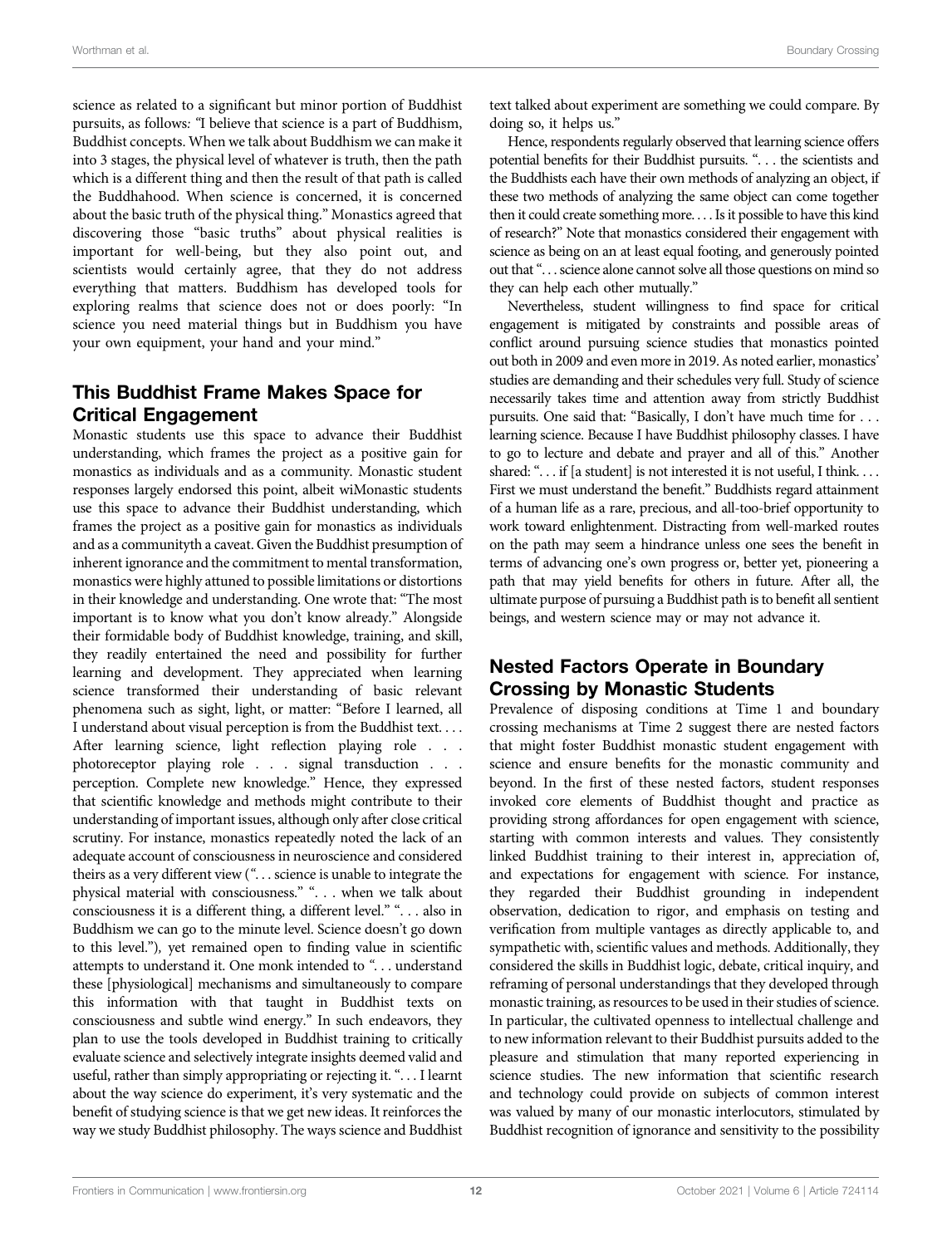science as related to a significant but minor portion of Buddhist pursuits, as follows: "I believe that science is a part of Buddhism, Buddhist concepts. When we talk about Buddhism we can make it into 3 stages, the physical level of whatever is truth, then the path which is a different thing and then the result of that path is called the Buddhahood. When science is concerned, it is concerned about the basic truth of the physical thing." Monastics agreed that discovering those "basic truths" about physical realities is important for well-being, but they also point out, and scientists would certainly agree, that they do not address everything that matters. Buddhism has developed tools for exploring realms that science does not or does poorly: "In science you need material things but in Buddhism you have your own equipment, your hand and your mind."

# This Buddhist Frame Makes Space for Critical Engagement

Monastic students use this space to advance their Buddhist understanding, which frames the project as a positive gain for monastics as individuals and as a community. Monastic student responses largely endorsed this point, albeit wiMonastic students use this space to advance their Buddhist understanding, which frames the project as a positive gain for monastics as individuals and as a communityth a caveat. Given the Buddhist presumption of inherent ignorance and the commitment to mental transformation, monastics were highly attuned to possible limitations or distortions in their knowledge and understanding. One wrote that: "The most important is to know what you don't know already." Alongside their formidable body of Buddhist knowledge, training, and skill, they readily entertained the need and possibility for further learning and development. They appreciated when learning science transformed their understanding of basic relevant phenomena such as sight, light, or matter: "Before I learned, all I understand about visual perception is from the Buddhist text. . . . After learning science, light reflection playing role . . . photoreceptor playing role . . . signal transduction . . . perception. Complete new knowledge." Hence, they expressed that scientific knowledge and methods might contribute to their understanding of important issues, although only after close critical scrutiny. For instance, monastics repeatedly noted the lack of an adequate account of consciousness in neuroscience and considered theirs as a very different view (". . . science is unable to integrate the physical material with consciousness." ". . . when we talk about consciousness it is a different thing, a different level." ". . . also in Buddhism we can go to the minute level. Science doesn't go down to this level."), yet remained open to finding value in scientific attempts to understand it. One monk intended to "... understand these [physiological] mechanisms and simultaneously to compare this information with that taught in Buddhist texts on consciousness and subtle wind energy." In such endeavors, they plan to use the tools developed in Buddhist training to critically evaluate science and selectively integrate insights deemed valid and useful, rather than simply appropriating or rejecting it. ". . . I learnt about the way science do experiment, it's very systematic and the benefit of studying science is that we get new ideas. It reinforces the way we study Buddhist philosophy. The ways science and Buddhist

text talked about experiment are something we could compare. By doing so, it helps us."

Hence, respondents regularly observed that learning science offers potential benefits for their Buddhist pursuits. ". . . the scientists and the Buddhists each have their own methods of analyzing an object, if these two methods of analyzing the same object can come together then it could create something more. . . . Is it possible to have this kind of research?" Note that monastics considered their engagement with science as being on an at least equal footing, and generously pointed out that". . . science alone cannot solve all those questions on mind so they can help each other mutually."

Nevertheless, student willingness to find space for critical engagement is mitigated by constraints and possible areas of conflict around pursuing science studies that monastics pointed out both in 2009 and even more in 2019. As noted earlier, monastics' studies are demanding and their schedules very full. Study of science necessarily takes time and attention away from strictly Buddhist pursuits. One said that: "Basically, I don't have much time for . . . learning science. Because I have Buddhist philosophy classes. I have to go to lecture and debate and prayer and all of this." Another shared: "... if [a student] is not interested it is not useful, I think... First we must understand the benefit." Buddhists regard attainment of a human life as a rare, precious, and all-too-brief opportunity to work toward enlightenment. Distracting from well-marked routes on the path may seem a hindrance unless one sees the benefit in terms of advancing one's own progress or, better yet, pioneering a path that may yield benefits for others in future. After all, the ultimate purpose of pursuing a Buddhist path is to benefit all sentient beings, and western science may or may not advance it.

# Nested Factors Operate in Boundary Crossing by Monastic Students

Prevalence of disposing conditions at Time 1 and boundary crossing mechanisms at Time 2 suggest there are nested factors that might foster Buddhist monastic student engagement with science and ensure benefits for the monastic community and beyond. In the first of these nested factors, student responses invoked core elements of Buddhist thought and practice as providing strong affordances for open engagement with science, starting with common interests and values. They consistently linked Buddhist training to their interest in, appreciation of, and expectations for engagement with science. For instance, they regarded their Buddhist grounding in independent observation, dedication to rigor, and emphasis on testing and verification from multiple vantages as directly applicable to, and sympathetic with, scientific values and methods. Additionally, they considered the skills in Buddhist logic, debate, critical inquiry, and reframing of personal understandings that they developed through monastic training, as resources to be used in their studies of science. In particular, the cultivated openness to intellectual challenge and to new information relevant to their Buddhist pursuits added to the pleasure and stimulation that many reported experiencing in science studies. The new information that scientific research and technology could provide on subjects of common interest was valued by many of our monastic interlocutors, stimulated by Buddhist recognition of ignorance and sensitivity to the possibility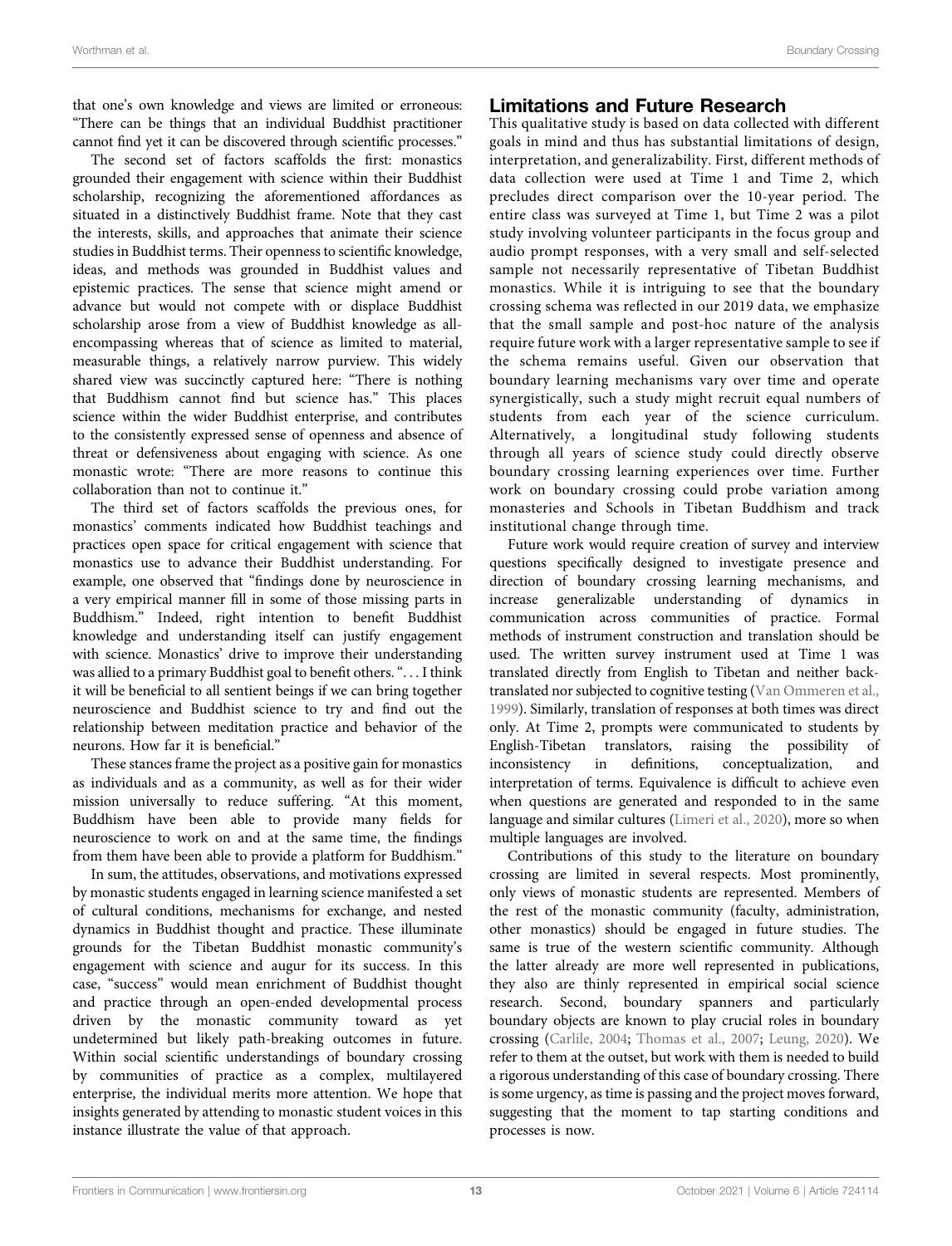that one's own knowledge and views are limited or erroneous: "There can be things that an individual Buddhist practitioner cannot find yet it can be discovered through scientific processes."

The second set of factors scaffolds the first: monastics grounded their engagement with science within their Buddhist scholarship, recognizing the aforementioned affordances as situated in a distinctively Buddhist frame. Note that they cast the interests, skills, and approaches that animate their science studies in Buddhist terms. Their openness to scientific knowledge, ideas, and methods was grounded in Buddhist values and epistemic practices. The sense that science might amend or advance but would not compete with or displace Buddhist scholarship arose from a view of Buddhist knowledge as allencompassing whereas that of science as limited to material, measurable things, a relatively narrow purview. This widely shared view was succinctly captured here: "There is nothing that Buddhism cannot find but science has." This places science within the wider Buddhist enterprise, and contributes to the consistently expressed sense of openness and absence of threat or defensiveness about engaging with science. As one monastic wrote: "There are more reasons to continue this collaboration than not to continue it."

The third set of factors scaffolds the previous ones, for monastics' comments indicated how Buddhist teachings and practices open space for critical engagement with science that monastics use to advance their Buddhist understanding. For example, one observed that "findings done by neuroscience in a very empirical manner fill in some of those missing parts in Buddhism." Indeed, right intention to benefit Buddhist knowledge and understanding itself can justify engagement with science. Monastics' drive to improve their understanding was allied to a primary Buddhist goal to benefit others. "...I think it will be beneficial to all sentient beings if we can bring together neuroscience and Buddhist science to try and find out the relationship between meditation practice and behavior of the neurons. How far it is beneficial."

These stances frame the project as a positive gain for monastics as individuals and as a community, as well as for their wider mission universally to reduce suffering. "At this moment, Buddhism have been able to provide many fields for neuroscience to work on and at the same time, the findings from them have been able to provide a platform for Buddhism."

In sum, the attitudes, observations, and motivations expressed by monastic students engaged in learning science manifested a set of cultural conditions, mechanisms for exchange, and nested dynamics in Buddhist thought and practice. These illuminate grounds for the Tibetan Buddhist monastic community's engagement with science and augur for its success. In this case, "success" would mean enrichment of Buddhist thought and practice through an open-ended developmental process driven by the monastic community toward as yet undetermined but likely path-breaking outcomes in future. Within social scientific understandings of boundary crossing by communities of practice as a complex, multilayered enterprise, the individual merits more attention. We hope that insights generated by attending to monastic student voices in this instance illustrate the value of that approach.

### Limitations and Future Research

This qualitative study is based on data collected with different goals in mind and thus has substantial limitations of design, interpretation, and generalizability. First, different methods of data collection were used at Time 1 and Time 2, which precludes direct comparison over the 10-year period. The entire class was surveyed at Time 1, but Time 2 was a pilot study involving volunteer participants in the focus group and audio prompt responses, with a very small and self-selected sample not necessarily representative of Tibetan Buddhist monastics. While it is intriguing to see that the boundary crossing schema was reflected in our 2019 data, we emphasize that the small sample and post-hoc nature of the analysis require future work with a larger representative sample to see if the schema remains useful. Given our observation that boundary learning mechanisms vary over time and operate synergistically, such a study might recruit equal numbers of students from each year of the science curriculum. Alternatively, a longitudinal study following students through all years of science study could directly observe boundary crossing learning experiences over time. Further work on boundary crossing could probe variation among monasteries and Schools in Tibetan Buddhism and track institutional change through time.

Future work would require creation of survey and interview questions specifically designed to investigate presence and direction of boundary crossing learning mechanisms, and increase generalizable understanding of dynamics in communication across communities of practice. Formal methods of instrument construction and translation should be used. The written survey instrument used at Time 1 was translated directly from English to Tibetan and neither backtranslated nor subjected to cognitive testing [\(Van Ommeren et al.,](#page-17-25) [1999](#page-17-25)). Similarly, translation of responses at both times was direct only. At Time 2, prompts were communicated to students by English-Tibetan translators, raising the possibility of inconsistency in definitions, conceptualization, and interpretation of terms. Equivalence is difficult to achieve even when questions are generated and responded to in the same language and similar cultures ([Limeri et al., 2020](#page-16-46)), more so when multiple languages are involved.

Contributions of this study to the literature on boundary crossing are limited in several respects. Most prominently, only views of monastic students are represented. Members of the rest of the monastic community (faculty, administration, other monastics) should be engaged in future studies. The same is true of the western scientific community. Although the latter already are more well represented in publications, they also are thinly represented in empirical social science research. Second, boundary spanners and particularly boundary objects are known to play crucial roles in boundary crossing ([Carlile, 2004;](#page-16-17) [Thomas et al., 2007](#page-17-26); [Leung, 2020\)](#page-16-26). We refer to them at the outset, but work with them is needed to build a rigorous understanding of this case of boundary crossing. There is some urgency, as time is passing and the project moves forward, suggesting that the moment to tap starting conditions and processes is now.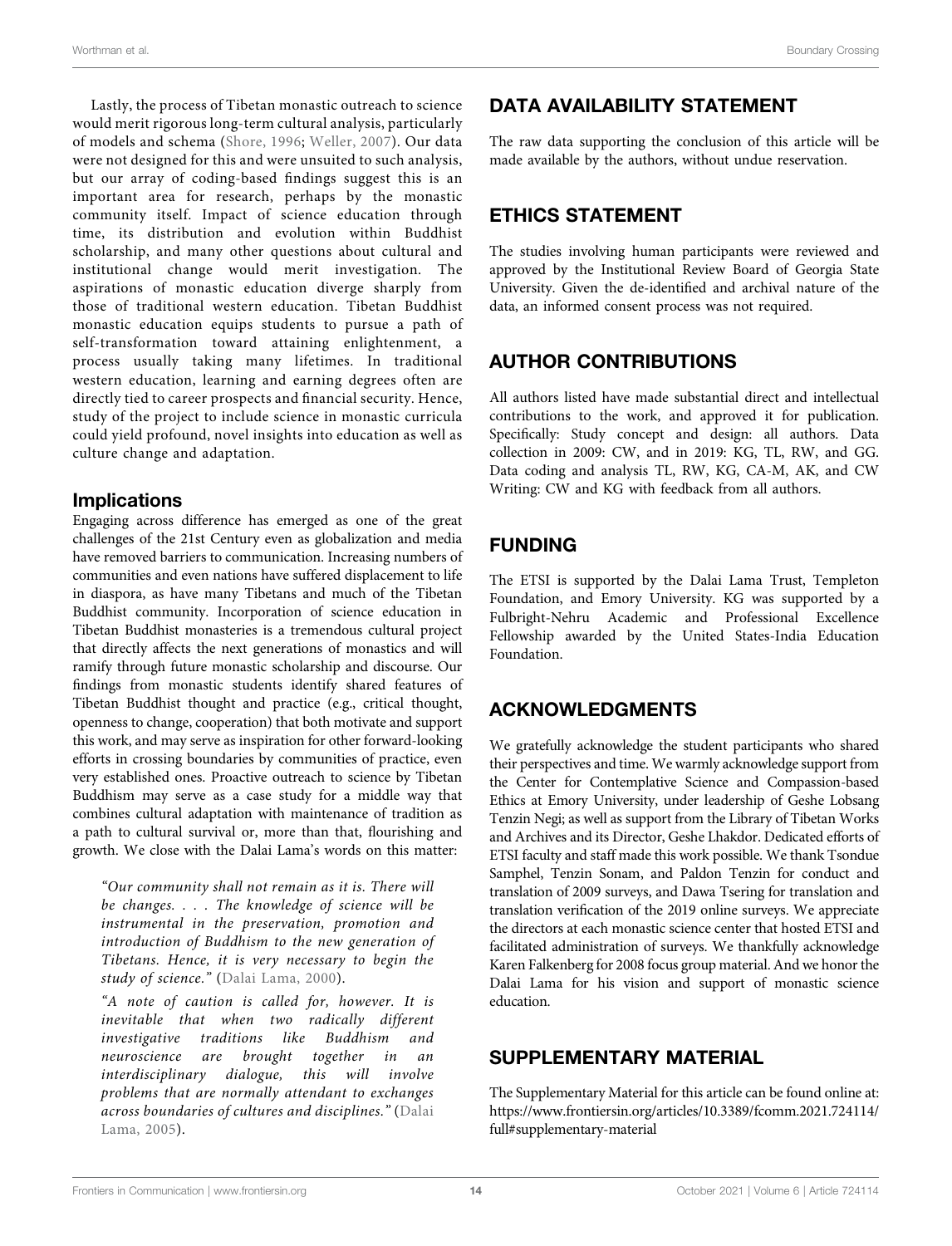Lastly, the process of Tibetan monastic outreach to science would merit rigorous long-term cultural analysis, particularly of models and schema [\(Shore, 1996;](#page-17-3) [Weller, 2007\)](#page-17-27). Our data were not designed for this and were unsuited to such analysis, but our array of coding-based findings suggest this is an important area for research, perhaps by the monastic community itself. Impact of science education through time, its distribution and evolution within Buddhist scholarship, and many other questions about cultural and institutional change would merit investigation. The aspirations of monastic education diverge sharply from those of traditional western education. Tibetan Buddhist monastic education equips students to pursue a path of self-transformation toward attaining enlightenment, a process usually taking many lifetimes. In traditional western education, learning and earning degrees often are directly tied to career prospects and financial security. Hence, study of the project to include science in monastic curricula could yield profound, novel insights into education as well as culture change and adaptation.

# Implications

Engaging across difference has emerged as one of the great challenges of the 21st Century even as globalization and media have removed barriers to communication. Increasing numbers of communities and even nations have suffered displacement to life in diaspora, as have many Tibetans and much of the Tibetan Buddhist community. Incorporation of science education in Tibetan Buddhist monasteries is a tremendous cultural project that directly affects the next generations of monastics and will ramify through future monastic scholarship and discourse. Our findings from monastic students identify shared features of Tibetan Buddhist thought and practice (e.g., critical thought, openness to change, cooperation) that both motivate and support this work, and may serve as inspiration for other forward-looking efforts in crossing boundaries by communities of practice, even very established ones. Proactive outreach to science by Tibetan Buddhism may serve as a case study for a middle way that combines cultural adaptation with maintenance of tradition as a path to cultural survival or, more than that, flourishing and growth. We close with the Dalai Lama's words on this matter:

"Our community shall not remain as it is. There will be changes. . . . The knowledge of science will be instrumental in the preservation, promotion and introduction of Buddhism to the new generation of Tibetans. Hence, it is very necessary to begin the study of science." ([Dalai Lama, 2000](#page-16-47)).

"A note of caution is called for, however. It is inevitable that when two radically different investigative traditions like Buddhism and neuroscience are brought together in an interdisciplinary dialogue, this will involve problems that are normally attendant to exchanges across boundaries of cultures and disciplines." ([Dalai](#page-16-48) [Lama, 2005](#page-16-48)).

# DATA AVAILABILITY STATEMENT

The raw data supporting the conclusion of this article will be made available by the authors, without undue reservation.

# ETHICS STATEMENT

The studies involving human participants were reviewed and approved by the Institutional Review Board of Georgia State University. Given the de-identified and archival nature of the data, an informed consent process was not required.

# AUTHOR CONTRIBUTIONS

All authors listed have made substantial direct and intellectual contributions to the work, and approved it for publication. Specifically: Study concept and design: all authors. Data collection in 2009: CW, and in 2019: KG, TL, RW, and GG. Data coding and analysis TL, RW, KG, CA-M, AK, and CW Writing: CW and KG with feedback from all authors.

# FUNDING

The ETSI is supported by the Dalai Lama Trust, Templeton Foundation, and Emory University. KG was supported by a Fulbright-Nehru Academic and Professional Excellence Fellowship awarded by the United States-India Education Foundation.

# ACKNOWLEDGMENTS

We gratefully acknowledge the student participants who shared their perspectives and time. We warmly acknowledge support from the Center for Contemplative Science and Compassion-based Ethics at Emory University, under leadership of Geshe Lobsang Tenzin Negi; as well as support from the Library of Tibetan Works and Archives and its Director, Geshe Lhakdor. Dedicated efforts of ETSI faculty and staff made this work possible. We thank Tsondue Samphel, Tenzin Sonam, and Paldon Tenzin for conduct and translation of 2009 surveys, and Dawa Tsering for translation and translation verification of the 2019 online surveys. We appreciate the directors at each monastic science center that hosted ETSI and facilitated administration of surveys. We thankfully acknowledge Karen Falkenberg for 2008 focus group material. And we honor the Dalai Lama for his vision and support of monastic science education.

# <span id="page-15-0"></span>SUPPLEMENTARY MATERIAL

The Supplementary Material for this article can be found online at: [https://www.frontiersin.org/articles/10.3389/fcomm.2021.724114/](https://www.frontiersin.org/articles/10.3389/fcomm.2021.724114/full#supplementary-material) [full#supplementary-material](https://www.frontiersin.org/articles/10.3389/fcomm.2021.724114/full#supplementary-material)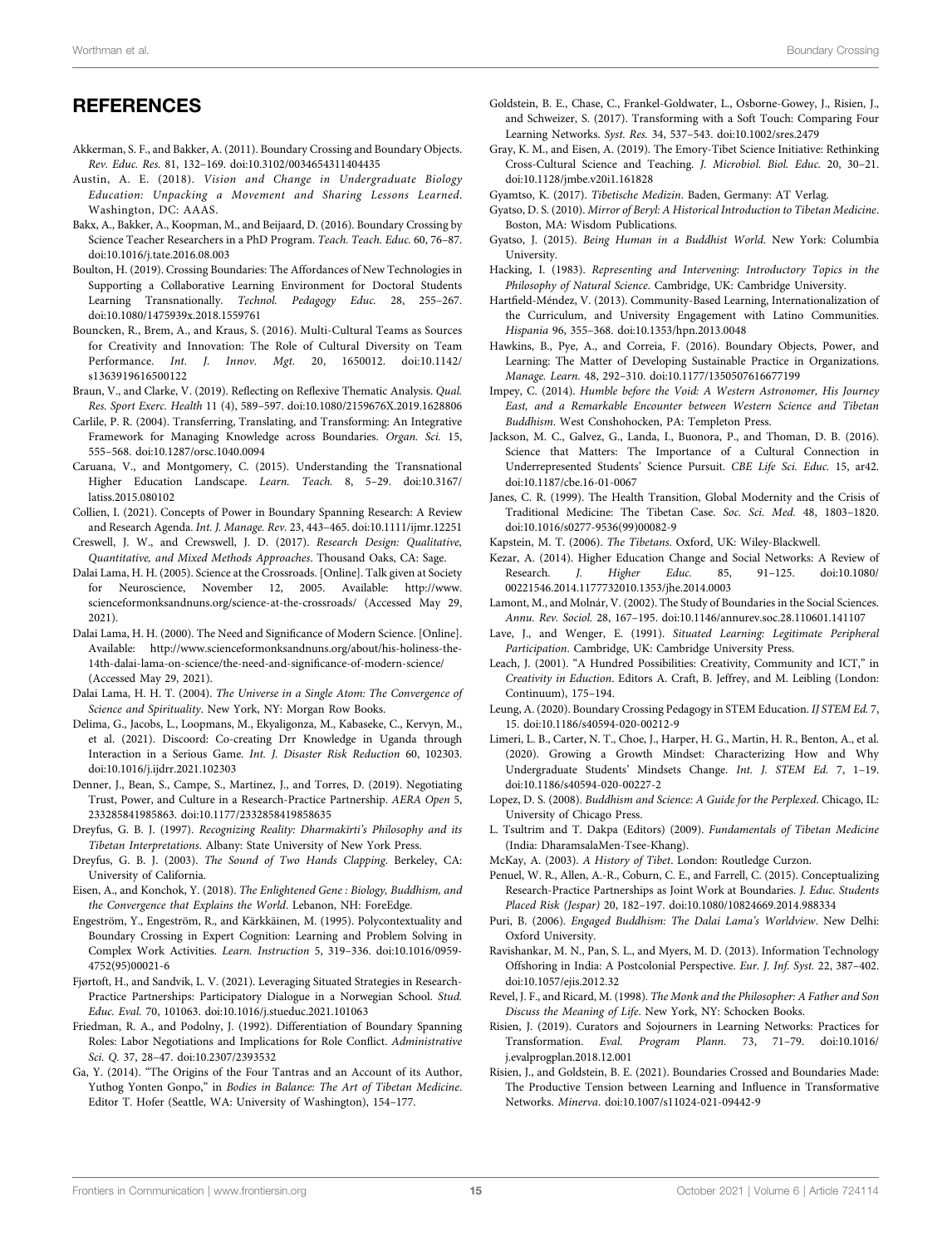### **REFERENCES**

- <span id="page-16-2"></span>Akkerman, S. F., and Bakker, A. (2011). Boundary Crossing and Boundary Objects. Rev. Educ. Res. 81, 132–169. doi[:10.3102/0034654311404435](https://doi.org/10.3102/0034654311404435)
- <span id="page-16-20"></span>Austin, A. E. (2018). Vision and Change in Undergraduate Biology Education: Unpacking a Movement and Sharing Lessons Learned. Washington, DC: AAAS.
- <span id="page-16-24"></span>Bakx, A., Bakker, A., Koopman, M., and Beijaard, D. (2016). Boundary Crossing by Science Teacher Researchers in a PhD Program. Teach. Teach. Educ. 60, 76–87. doi:[10.1016/j.tate.2016.08.003](https://doi.org/10.1016/j.tate.2016.08.003)
- <span id="page-16-16"></span>Boulton, H. (2019). Crossing Boundaries: The Affordances of New Technologies in Supporting a Collaborative Learning Environment for Doctoral Students Learning Transnationally. Technol. Pedagogy Educ. 28, 255–267. doi:[10.1080/1475939x.2018.1559761](https://doi.org/10.1080/1475939x.2018.1559761)
- <span id="page-16-22"></span>Bouncken, R., Brem, A., and Kraus, S. (2016). Multi-Cultural Teams as Sources for Creativity and Innovation: The Role of Cultural Diversity on Team Performance. Int. J. Innov. Mgt. 20, 1650012. doi:[10.1142/](https://doi.org/10.1142/s1363919616500122) [s1363919616500122](https://doi.org/10.1142/s1363919616500122)
- <span id="page-16-43"></span>Braun, V., and Clarke, V. (2019). Reflecting on Reflexive Thematic Analysis. Qual. Res. Sport Exerc. Health 11 (4), 589–597. doi:[10.1080/2159676X.2019.1628806](https://doi.org/10.1080/2159676X.2019.1628806)
- <span id="page-16-17"></span>Carlile, P. R. (2004). Transferring, Translating, and Transforming: An Integrative Framework for Managing Knowledge across Boundaries. Organ. Sci. 15, 555–568. doi:[10.1287/orsc.1040.0094](https://doi.org/10.1287/orsc.1040.0094)
- <span id="page-16-15"></span>Caruana, V., and Montgomery, C. (2015). Understanding the Transnational Higher Education Landscape. Learn. Teach. 8, 5–29. doi:[10.3167/](https://doi.org/10.3167/latiss.2015.080102) [latiss.2015.080102](https://doi.org/10.3167/latiss.2015.080102)
- <span id="page-16-13"></span>Collien, I. (2021). Concepts of Power in Boundary Spanning Research: A Review and Research Agenda. Int. J. Manage. Rev. 23, 443–465. doi[:10.1111/ijmr.12251](https://doi.org/10.1111/ijmr.12251)
- <span id="page-16-44"></span>Creswell, J. W., and Crewswell, J. D. (2017). Research Design: Qualitative, Quantitative, and Mixed Methods Approaches. Thousand Oaks, CA: Sage.
- <span id="page-16-48"></span>Dalai Lama, H. H. (2005). Science at the Crossroads. [Online]. Talk given at Society for Neuroscience, November 12, 2005. Available: [http://www.](http://www.scienceformonksandnuns.org/science-at-the-crossroads/) [scienceformonksandnuns.org/science-at-the-crossroads/](http://www.scienceformonksandnuns.org/science-at-the-crossroads/) (Accessed May 29, 2021).
- <span id="page-16-47"></span>Dalai Lama, H. H. (2000). The Need and Significance of Modern Science. [Online]. Available: [http://www.scienceformonksandnuns.org/about/his-holiness-the-](http://www.scienceformonksandnuns.org/about/his-holiness-the-14th-dalai-lama-on-science/the-need-and-significance-of-modern-science/)[14th-dalai-lama-on-science/the-need-and-signi](http://www.scienceformonksandnuns.org/about/his-holiness-the-14th-dalai-lama-on-science/the-need-and-significance-of-modern-science/)ficance-of-modern-science/ (Accessed May 29, 2021).
- <span id="page-16-0"></span>Dalai Lama, H. H. T. (2004). The Universe in a Single Atom: The Convergence of Science and Spirituality. New York, NY: Morgan Row Books.
- <span id="page-16-28"></span>Delima, G., Jacobs, L., Loopmans, M., Ekyaligonza, M., Kabaseke, C., Kervyn, M., et al. (2021). Discoord: Co-creating Drr Knowledge in Uganda through Interaction in a Serious Game. Int. J. Disaster Risk Reduction 60, 102303. doi:[10.1016/j.ijdrr.2021.102303](https://doi.org/10.1016/j.ijdrr.2021.102303)
- <span id="page-16-11"></span>Denner, J., Bean, S., Campe, S., Martinez, J., and Torres, D. (2019). Negotiating Trust, Power, and Culture in a Research-Practice Partnership. AERA Open 5, 233285841985863. doi[:10.1177/2332858419858635](https://doi.org/10.1177/2332858419858635)
- <span id="page-16-45"></span>Dreyfus, G. B. J. (1997). Recognizing Reality: Dharmakīrti's Philosophy and its Tibetan Interpretations. Albany: State University of New York Press.
- <span id="page-16-31"></span>Dreyfus, G. B. J. (2003). The Sound of Two Hands Clapping. Berkeley, CA: University of California.
- <span id="page-16-41"></span>Eisen, A., and Konchok, Y. (2018). The Enlightened Gene : Biology, Buddhism, and the Convergence that Explains the World. Lebanon, NH: ForeEdge.
- <span id="page-16-6"></span>Engeström, Y., Engeström, R., and Kärkkäinen, M. (1995). Polycontextuality and Boundary Crossing in Expert Cognition: Learning and Problem Solving in Complex Work Activities. Learn. Instruction 5, 319–336. doi:[10.1016/0959-](https://doi.org/10.1016/0959-4752(95)00021-6) [4752\(95\)00021-6](https://doi.org/10.1016/0959-4752(95)00021-6)
- <span id="page-16-27"></span>Fjørtoft, H., and Sandvik, L. V. (2021). Leveraging Situated Strategies in Research-Practice Partnerships: Participatory Dialogue in a Norwegian School. Stud. Educ. Eval. 70, 101063. doi[:10.1016/j.stueduc.2021.101063](https://doi.org/10.1016/j.stueduc.2021.101063)
- <span id="page-16-8"></span>Friedman, R. A., and Podolny, J. (1992). Differentiation of Boundary Spanning Roles: Labor Negotiations and Implications for Role Conflict. Administrative Sci. Q. 37, 28–47. doi[:10.2307/2393532](https://doi.org/10.2307/2393532)
- <span id="page-16-37"></span>Ga, Y. (2014). "The Origins of the Four Tantras and an Account of its Author, Yuthog Yonten Gonpo," in Bodies in Balance: The Art of Tibetan Medicine. Editor T. Hofer (Seattle, WA: University of Washington), 154–177.
- <span id="page-16-12"></span>Goldstein, B. E., Chase, C., Frankel-Goldwater, L., Osborne-Gowey, J., Risien, J., and Schweizer, S. (2017). Transforming with a Soft Touch: Comparing Four Learning Networks. Syst. Res. 34, 537–543. doi:[10.1002/sres.2479](https://doi.org/10.1002/sres.2479)
- <span id="page-16-29"></span>Gray, K. M., and Eisen, A. (2019). The Emory-Tibet Science Initiative: Rethinking Cross-Cultural Science and Teaching. J. Microbiol. Biol. Educ. 20, 30–21. doi[:10.1128/jmbe.v20i1.1618](https://doi.org/10.1128/jmbe.v20i1.1618)28
- <span id="page-16-35"></span>Gyamtso, K. (2017). Tibetische Medizin. Baden, Germany: AT Verlag.
- <span id="page-16-36"></span>Gyatso, D. S. (2010). Mirror of Beryl: A Historical Introduction to Tibetan Medicine. Boston, MA: Wisdom Publications.
- <span id="page-16-33"></span>Gyatso, J. (2015). Being Human in a Buddhist World. New York: Columbia University.
- <span id="page-16-4"></span>Hacking, I. (1983). Representing and Intervening: Introductory Topics in the Philosophy of Natural Science. Cambridge, UK: Cambridge University.
- <span id="page-16-21"></span>Hartfield-Méndez, V. (2013). Community-Based Learning, Internationalization of the Curriculum, and University Engagement with Latino Communities. Hispania 96, 355–368. doi:[10.1353/hpn.2013.0048](https://doi.org/10.1353/hpn.2013.0048)
- <span id="page-16-9"></span>Hawkins, B., Pye, A., and Correia, F. (2016). Boundary Objects, Power, and Learning: The Matter of Developing Sustainable Practice in Organizations. Manage. Learn. 48, 292–310. doi:[10.1177/1350507616677199](https://doi.org/10.1177/1350507616677199)
- <span id="page-16-40"></span>Impey, C. (2014). Humble before the Void: A Western Astronomer, His Journey East, and a Remarkable Encounter between Western Science and Tibetan Buddhism. West Conshohocken, PA: Templeton Press.
- <span id="page-16-23"></span>Jackson, M. C., Galvez, G., Landa, I., Buonora, P., and Thoman, D. B. (2016). Science that Matters: The Importance of a Cultural Connection in Underrepresented Students' Science Pursuit. CBE Life Sci. Educ. 15, ar42. doi[:10.1187/cbe.16-01-0067](https://doi.org/10.1187/cbe.16-01-0067)
- <span id="page-16-1"></span>Janes, C. R. (1999). The Health Transition, Global Modernity and the Crisis of Traditional Medicine: The Tibetan Case. Soc. Sci. Med. 48, 1803–1820. doi[:10.1016/s0277-9536\(99\)00082-9](https://doi.org/10.1016/s0277-9536(99)00082-9)
- <span id="page-16-32"></span>Kapstein, M. T. (2006). The Tibetans. Oxford, UK: Wiley-Blackwell.
- <span id="page-16-42"></span>Kezar, A. (2014). Higher Education Change and Social Networks: A Review of Research. J. Higher Educ. 85, 91–125. doi[:10.1080/](https://doi.org/10.1080/00221546.2014.1177732010.1353/jhe.2014.0003) [00221546.2014.1177732010.1353/jhe.2014.0003](https://doi.org/10.1080/00221546.2014.1177732010.1353/jhe.2014.0003)
- <span id="page-16-7"></span>Lamont, M., and Molnár, V. (2002). The Study of Boundaries in the Social Sciences. Annu. Rev. Sociol. 28, 167–195. doi[:10.1146/annurev.soc.28.110601.141107](https://doi.org/10.1146/annurev.soc.28.110601.141107)
- <span id="page-16-3"></span>Lave, J., and Wenger, E. (1991). Situated Learning: Legitimate Peripheral Participation. Cambridge, UK: Cambridge University Press.
- <span id="page-16-25"></span>Leach, J. (2001). "A Hundred Possibilities: Creativity, Community and ICT," in Creativity in Eduction. Editors A. Craft, B. Jeffrey, and M. Leibling (London: Continuum), 175–194.
- <span id="page-16-26"></span>Leung, A. (2020). Boundary Crossing Pedagogy in STEM Education. IJ STEM Ed. 7, 15. doi:[10.1186/s40594-020-00212-9](https://doi.org/10.1186/s40594-020-00212-9)
- <span id="page-16-46"></span>Limeri, L. B., Carter, N. T., Choe, J., Harper, H. G., Martin, H. R., Benton, A., et al. (2020). Growing a Growth Mindset: Characterizing How and Why Undergraduate Students' Mindsets Change. Int. J. STEM Ed. 7, 1–19. doi[:10.1186/s40594-020-00227-2](https://doi.org/10.1186/s40594-020-00227-2)
- <span id="page-16-5"></span>Lopez, D. S. (2008). Buddhism and Science: A Guide for the Perplexed. Chicago, IL: University of Chicago Press.
- <span id="page-16-34"></span>L. Tsultrim and T. Dakpa (Editors) (2009). Fundamentals of Tibetan Medicine (India: DharamsalaMen-Tsee-Khang).
- <span id="page-16-30"></span>McKay, A. (2003). A History of Tibet. London: Routledge Curzon.
- <span id="page-16-18"></span>Penuel, W. R., Allen, A.-R., Coburn, C. E., and Farrell, C. (2015). Conceptualizing Research-Practice Partnerships as Joint Work at Boundaries. J. Educ. Students Placed Risk (Jespar) 20, 182–197. doi:[10.1080/10824669.2014.988334](https://doi.org/10.1080/10824669.2014.988334)
- <span id="page-16-38"></span>Puri, B. (2006). Engaged Buddhism: The Dalai Lama's Worldview. New Delhi: Oxford University.
- <span id="page-16-14"></span>Ravishankar, M. N., Pan, S. L., and Myers, M. D. (2013). Information Technology Offshoring in India: A Postcolonial Perspective. Eur. J. Inf. Syst. 22, 387–402. doi[:10.1057/ejis.2012.32](https://doi.org/10.1057/ejis.2012.32)
- <span id="page-16-39"></span>Revel, J. F., and Ricard, M. (1998). The Monk and the Philosopher: A Father and Son Discuss the Meaning of Life. New York, NY: Schocken Books.
- <span id="page-16-19"></span>Risien, J. (2019). Curators and Sojourners in Learning Networks: Practices for Transformation. Eval. Program Plann. 73, 71–79. doi[:10.1016/](https://doi.org/10.1016/j.evalprogplan.2018.12.001) [j.evalprogplan.2018.12.001](https://doi.org/10.1016/j.evalprogplan.2018.12.001)
- <span id="page-16-10"></span>Risien, J., and Goldstein, B. E. (2021). Boundaries Crossed and Boundaries Made: The Productive Tension between Learning and Influence in Transformative Networks. Minerva. doi:[10.1007/s11024-021-09442-9](https://doi.org/10.1007/s11024-021-09442-9)